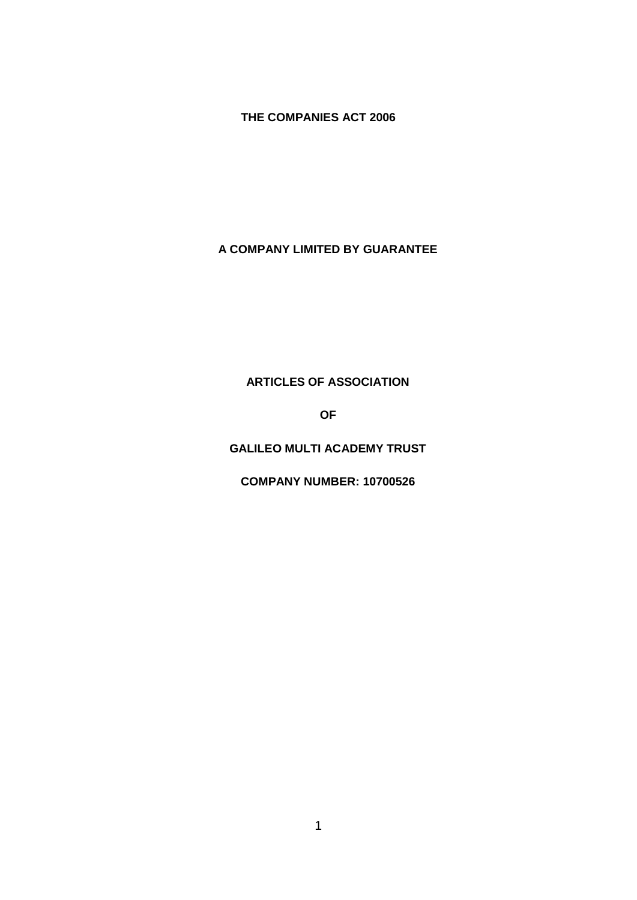# **THE COMPANIES ACT 2006**

# **A COMPANY LIMITED BY GUARANTEE**

# **ARTICLES OF ASSOCIATION**

**OF**

# **GALILEO MULTI ACADEMY TRUST**

**COMPANY NUMBER: 10700526**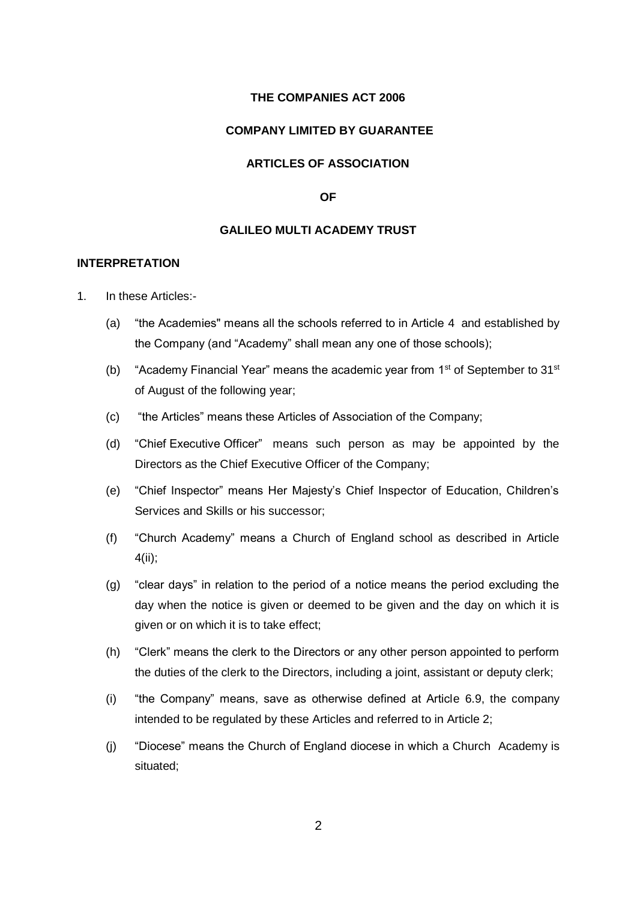## **THE COMPANIES ACT 2006**

### **COMPANY LIMITED BY GUARANTEE**

# **ARTICLES OF ASSOCIATION**

### **OF**

## **GALILEO MULTI ACADEMY TRUST**

## **INTERPRETATION**

- 1. In these Articles:-
	- (a) "the Academies" means all the schools referred to in Article 4 and established by the Company (and "Academy" shall mean any one of those schools);
	- (b) "Academy Financial Year" means the academic year from  $1<sup>st</sup>$  of September to  $31<sup>st</sup>$ of August of the following year;
	- (c) "the Articles" means these Articles of Association of the Company;
	- (d) "Chief Executive Officer" means such person as may be appointed by the Directors as the Chief Executive Officer of the Company;
	- (e) "Chief Inspector" means Her Majesty's Chief Inspector of Education, Children's Services and Skills or his successor;
	- (f) "Church Academy" means a Church of England school as described in Article 4(ii);
	- (g) "clear days" in relation to the period of a notice means the period excluding the day when the notice is given or deemed to be given and the day on which it is given or on which it is to take effect;
	- (h) "Clerk" means the clerk to the Directors or any other person appointed to perform the duties of the clerk to the Directors, including a joint, assistant or deputy clerk;
	- (i) "the Company" means, save as otherwise defined at Article 6.9, the company intended to be regulated by these Articles and referred to in Article 2;
	- (j) "Diocese" means the Church of England diocese in which a Church Academy is situated;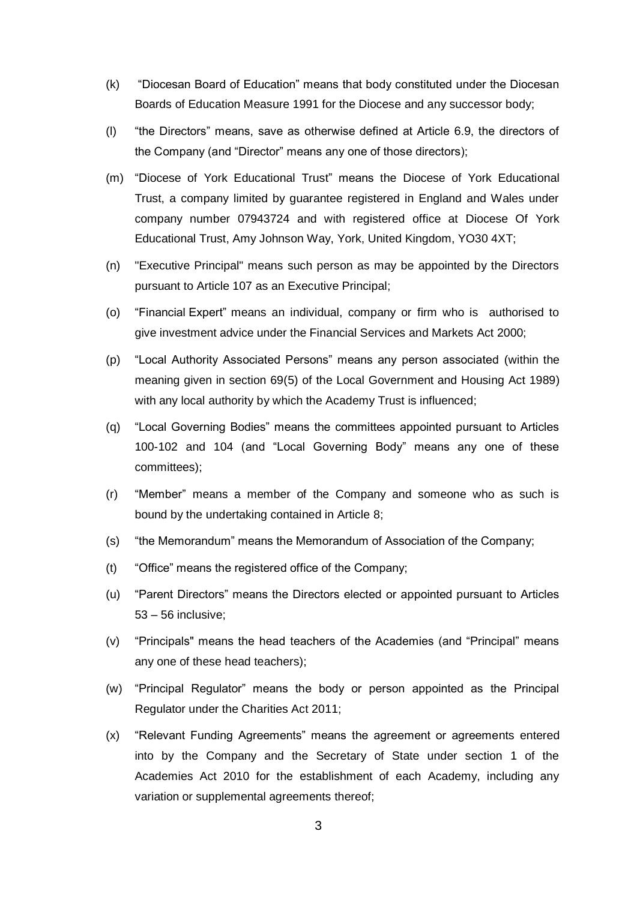- (k) "Diocesan Board of Education" means that body constituted under the Diocesan Boards of Education Measure 1991 for the Diocese and any successor body;
- (l) "the Directors" means, save as otherwise defined at Article 6.9, the directors of the Company (and "Director" means any one of those directors);
- (m) "Diocese of York Educational Trust" means the Diocese of York Educational Trust, a company limited by guarantee registered in England and Wales under company number 07943724 and with registered office at Diocese Of York Educational Trust, Amy Johnson Way, York, United Kingdom, YO30 4XT;
- (n) "Executive Principal" means such person as may be appointed by the Directors pursuant to Article 107 as an Executive Principal;
- (o) "Financial Expert" means an individual, company or firm who is authorised to give investment advice under the Financial Services and Markets Act 2000;
- (p) "Local Authority Associated Persons" means any person associated (within the meaning given in section 69(5) of the Local Government and Housing Act 1989) with any local authority by which the Academy Trust is influenced;
- (q) "Local Governing Bodies" means the committees appointed pursuant to Articles 100-102 and 104 (and "Local Governing Body" means any one of these committees);
- (r) "Member" means a member of the Company and someone who as such is bound by the undertaking contained in Article 8;
- (s) "the Memorandum" means the Memorandum of Association of the Company;
- (t) "Office" means the registered office of the Company;
- (u) "Parent Directors" means the Directors elected or appointed pursuant to Articles 53 – 56 inclusive;
- (v) "Principals" means the head teachers of the Academies (and "Principal" means any one of these head teachers);
- (w) "Principal Regulator" means the body or person appointed as the Principal Regulator under the Charities Act 2011;
- (x) "Relevant Funding Agreements" means the agreement or agreements entered into by the Company and the Secretary of State under section 1 of the Academies Act 2010 for the establishment of each Academy, including any variation or supplemental agreements thereof;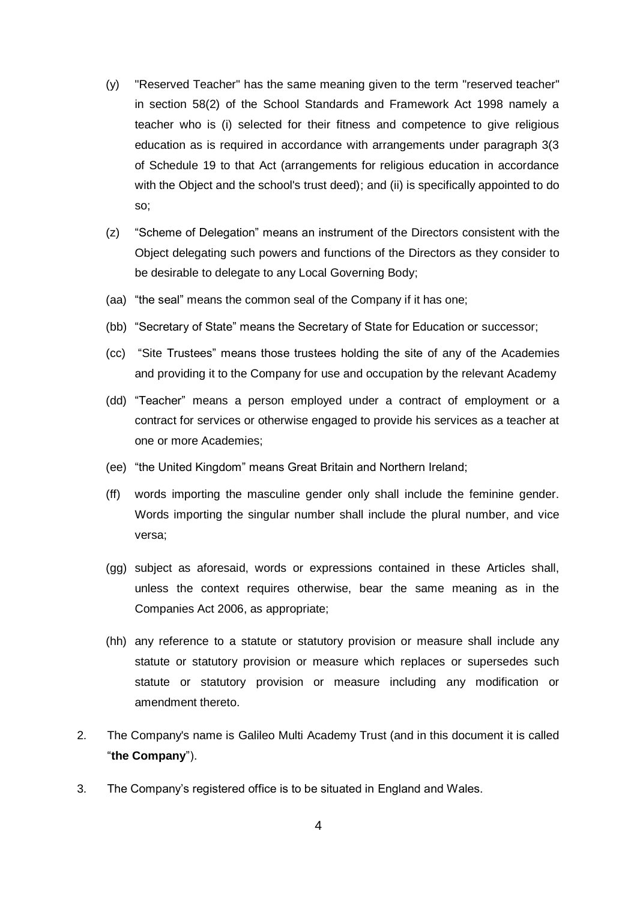- (y) "Reserved Teacher" has the same meaning given to the term "reserved teacher" in section 58(2) of the School Standards and Framework Act 1998 namely a teacher who is (i) selected for their fitness and competence to give religious education as is required in accordance with arrangements under paragraph 3(3 of Schedule 19 to that Act (arrangements for religious education in accordance with the Object and the school's trust deed); and (ii) is specifically appointed to do so;
- (z) "Scheme of Delegation" means an instrument of the Directors consistent with the Object delegating such powers and functions of the Directors as they consider to be desirable to delegate to any Local Governing Body;
- (aa) "the seal" means the common seal of the Company if it has one;
- (bb) "Secretary of State" means the Secretary of State for Education or successor;
- (cc) "Site Trustees" means those trustees holding the site of any of the Academies and providing it to the Company for use and occupation by the relevant Academy
- (dd) "Teacher" means a person employed under a contract of employment or a contract for services or otherwise engaged to provide his services as a teacher at one or more Academies;
- (ee) "the United Kingdom" means Great Britain and Northern Ireland;
- (ff) words importing the masculine gender only shall include the feminine gender. Words importing the singular number shall include the plural number, and vice versa;
- (gg) subject as aforesaid, words or expressions contained in these Articles shall, unless the context requires otherwise, bear the same meaning as in the Companies Act 2006, as appropriate;
- (hh) any reference to a statute or statutory provision or measure shall include any statute or statutory provision or measure which replaces or supersedes such statute or statutory provision or measure including any modification or amendment thereto.
- 2. The Company's name is Galileo Multi Academy Trust (and in this document it is called "**the Company**").
- 3. The Company's registered office is to be situated in England and Wales.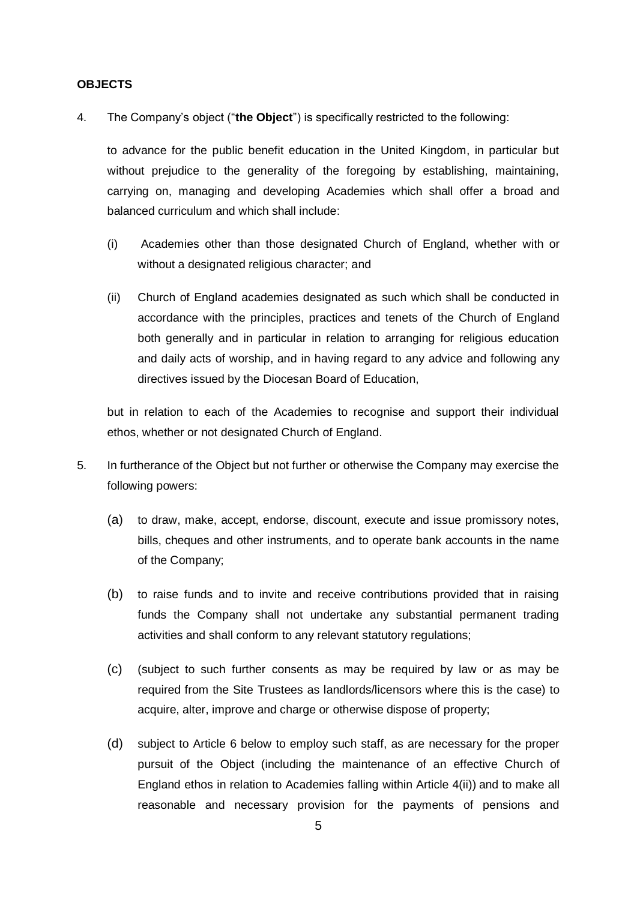#### **OBJECTS**

4. The Company's object ("**the Object**") is specifically restricted to the following:

to advance for the public benefit education in the United Kingdom, in particular but without prejudice to the generality of the foregoing by establishing, maintaining, carrying on, managing and developing Academies which shall offer a broad and balanced curriculum and which shall include:

- (i) Academies other than those designated Church of England, whether with or without a designated religious character; and
- (ii) Church of England academies designated as such which shall be conducted in accordance with the principles, practices and tenets of the Church of England both generally and in particular in relation to arranging for religious education and daily acts of worship, and in having regard to any advice and following any directives issued by the Diocesan Board of Education,

but in relation to each of the Academies to recognise and support their individual ethos, whether or not designated Church of England.

- 5. In furtherance of the Object but not further or otherwise the Company may exercise the following powers:
	- (a) to draw, make, accept, endorse, discount, execute and issue promissory notes, bills, cheques and other instruments, and to operate bank accounts in the name of the Company;
	- (b) to raise funds and to invite and receive contributions provided that in raising funds the Company shall not undertake any substantial permanent trading activities and shall conform to any relevant statutory regulations;
	- (c) (subject to such further consents as may be required by law or as may be required from the Site Trustees as landlords/licensors where this is the case) to acquire, alter, improve and charge or otherwise dispose of property;
	- (d) subject to Article 6 below to employ such staff, as are necessary for the proper pursuit of the Object (including the maintenance of an effective Church of England ethos in relation to Academies falling within Article 4(ii)) and to make all reasonable and necessary provision for the payments of pensions and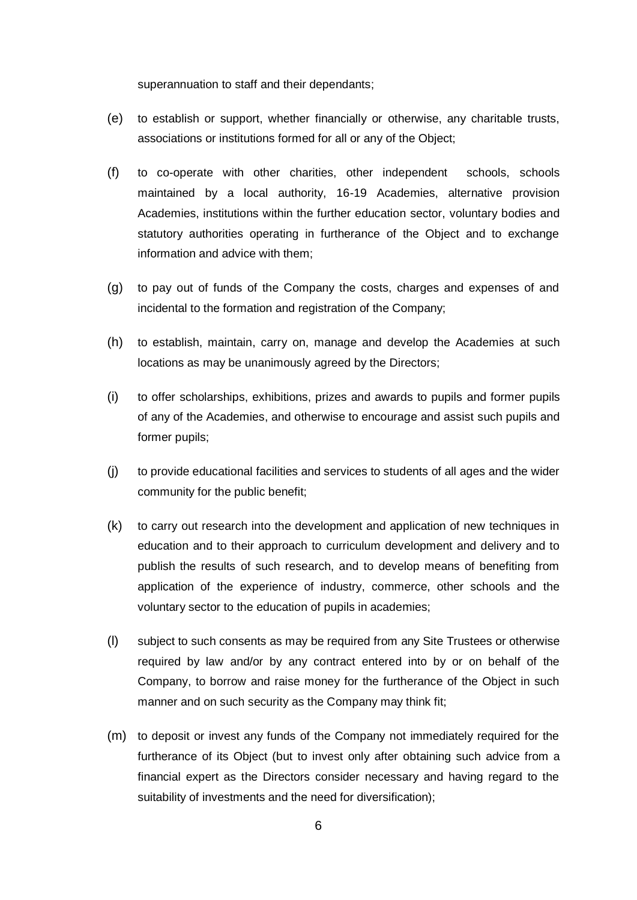superannuation to staff and their dependants;

- (e) to establish or support, whether financially or otherwise, any charitable trusts, associations or institutions formed for all or any of the Object;
- (f) to co-operate with other charities, other independent schools, schools maintained by a local authority, 16-19 Academies, alternative provision Academies, institutions within the further education sector, voluntary bodies and statutory authorities operating in furtherance of the Object and to exchange information and advice with them;
- (g) to pay out of funds of the Company the costs, charges and expenses of and incidental to the formation and registration of the Company;
- (h) to establish, maintain, carry on, manage and develop the Academies at such locations as may be unanimously agreed by the Directors;
- (i) to offer scholarships, exhibitions, prizes and awards to pupils and former pupils of any of the Academies, and otherwise to encourage and assist such pupils and former pupils;
- (j) to provide educational facilities and services to students of all ages and the wider community for the public benefit;
- (k) to carry out research into the development and application of new techniques in education and to their approach to curriculum development and delivery and to publish the results of such research, and to develop means of benefiting from application of the experience of industry, commerce, other schools and the voluntary sector to the education of pupils in academies;
- (l) subject to such consents as may be required from any Site Trustees or otherwise required by law and/or by any contract entered into by or on behalf of the Company, to borrow and raise money for the furtherance of the Object in such manner and on such security as the Company may think fit;
- (m) to deposit or invest any funds of the Company not immediately required for the furtherance of its Object (but to invest only after obtaining such advice from a financial expert as the Directors consider necessary and having regard to the suitability of investments and the need for diversification);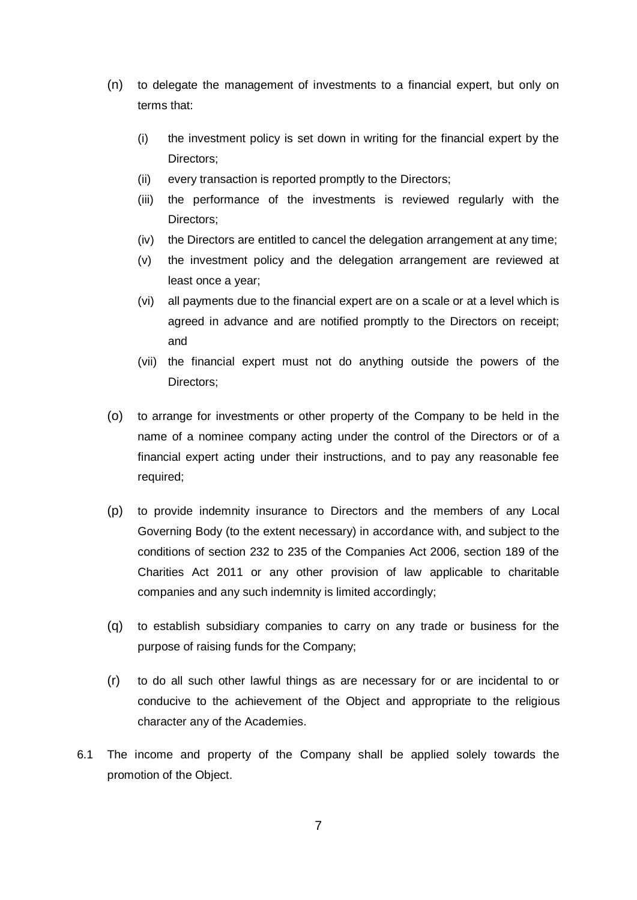- (n) to delegate the management of investments to a financial expert, but only on terms that:
	- (i) the investment policy is set down in writing for the financial expert by the Directors;
	- (ii) every transaction is reported promptly to the Directors;
	- (iii) the performance of the investments is reviewed regularly with the Directors;
	- (iv) the Directors are entitled to cancel the delegation arrangement at any time;
	- (v) the investment policy and the delegation arrangement are reviewed at least once a year;
	- (vi) all payments due to the financial expert are on a scale or at a level which is agreed in advance and are notified promptly to the Directors on receipt; and
	- (vii) the financial expert must not do anything outside the powers of the Directors;
- (o) to arrange for investments or other property of the Company to be held in the name of a nominee company acting under the control of the Directors or of a financial expert acting under their instructions, and to pay any reasonable fee required;
- (p) to provide indemnity insurance to Directors and the members of any Local Governing Body (to the extent necessary) in accordance with, and subject to the conditions of section 232 to 235 of the Companies Act 2006, section 189 of the Charities Act 2011 or any other provision of law applicable to charitable companies and any such indemnity is limited accordingly;
- (q) to establish subsidiary companies to carry on any trade or business for the purpose of raising funds for the Company;
- (r) to do all such other lawful things as are necessary for or are incidental to or conducive to the achievement of the Object and appropriate to the religious character any of the Academies.
- 6.1 The income and property of the Company shall be applied solely towards the promotion of the Object.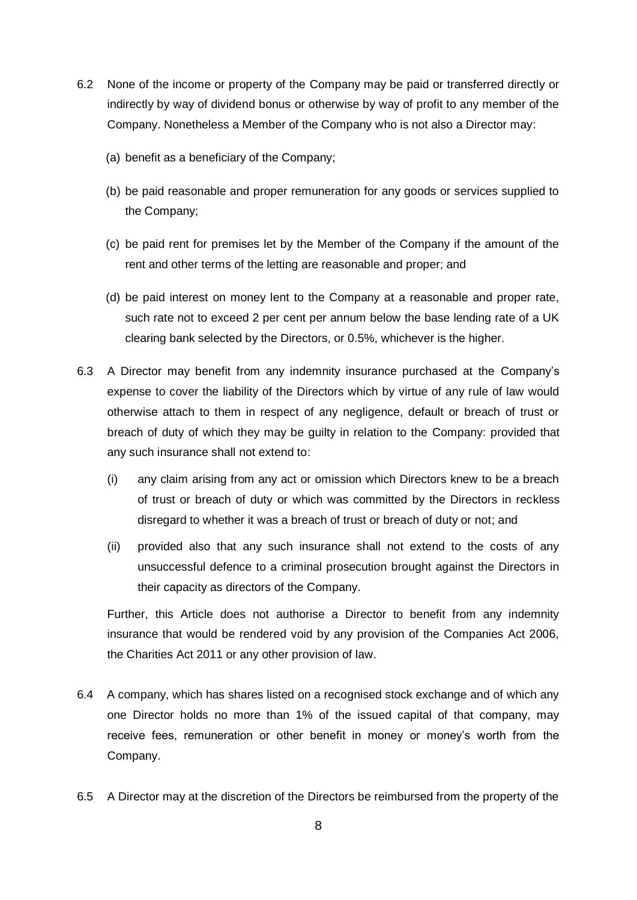- 6.2 None of the income or property of the Company may be paid or transferred directly or indirectly by way of dividend bonus or otherwise by way of profit to any member of the Company. Nonetheless a Member of the Company who is not also a Director may:
	- (a) benefit as a beneficiary of the Company;
	- (b) be paid reasonable and proper remuneration for any goods or services supplied to the Company;
	- (c) be paid rent for premises let by the Member of the Company if the amount of the rent and other terms of the letting are reasonable and proper; and
	- (d) be paid interest on money lent to the Company at a reasonable and proper rate, such rate not to exceed 2 per cent per annum below the base lending rate of a UK clearing bank selected by the Directors, or 0.5%, whichever is the higher.
- 6.3 A Director may benefit from any indemnity insurance purchased at the Company's expense to cover the liability of the Directors which by virtue of any rule of law would otherwise attach to them in respect of any negligence, default or breach of trust or breach of duty of which they may be guilty in relation to the Company: provided that any such insurance shall not extend to:
	- (i) any claim arising from any act or omission which Directors knew to be a breach of trust or breach of duty or which was committed by the Directors in reckless disregard to whether it was a breach of trust or breach of duty or not; and
	- (ii) provided also that any such insurance shall not extend to the costs of any unsuccessful defence to a criminal prosecution brought against the Directors in their capacity as directors of the Company.

Further, this Article does not authorise a Director to benefit from any indemnity insurance that would be rendered void by any provision of the Companies Act 2006, the Charities Act 2011 or any other provision of law.

- 6.4 A company, which has shares listed on a recognised stock exchange and of which any one Director holds no more than 1% of the issued capital of that company, may receive fees, remuneration or other benefit in money or money's worth from the Company.
- 6.5 A Director may at the discretion of the Directors be reimbursed from the property of the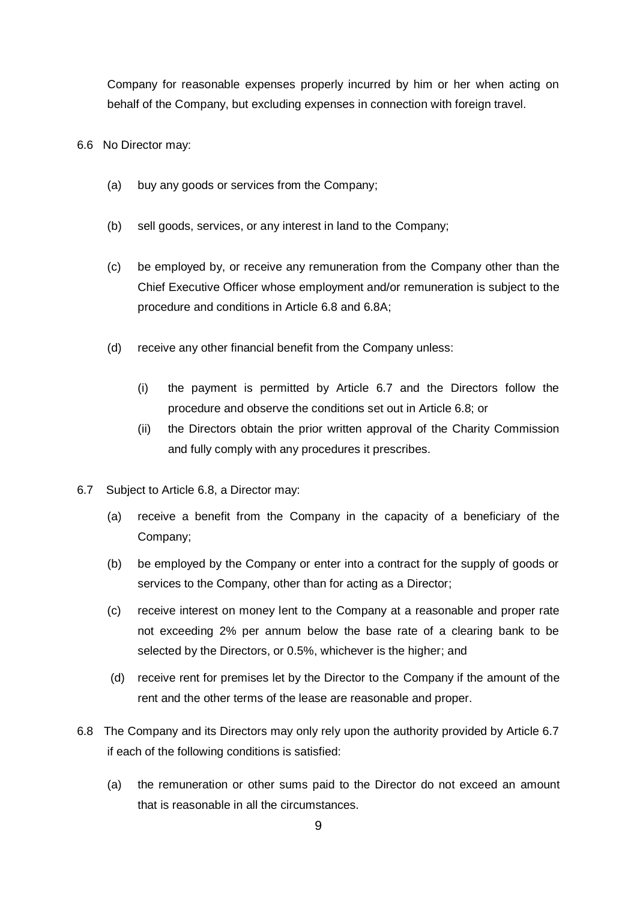Company for reasonable expenses properly incurred by him or her when acting on behalf of the Company, but excluding expenses in connection with foreign travel.

- 6.6 No Director may:
	- (a) buy any goods or services from the Company;
	- (b) sell goods, services, or any interest in land to the Company;
	- (c) be employed by, or receive any remuneration from the Company other than the Chief Executive Officer whose employment and/or remuneration is subject to the procedure and conditions in Article 6.8 and 6.8A;
	- (d) receive any other financial benefit from the Company unless:
		- (i) the payment is permitted by Article 6.7 and the Directors follow the procedure and observe the conditions set out in Article 6.8; or
		- (ii) the Directors obtain the prior written approval of the Charity Commission and fully comply with any procedures it prescribes.
- 6.7 Subject to Article 6.8, a Director may:
	- (a) receive a benefit from the Company in the capacity of a beneficiary of the Company;
	- (b) be employed by the Company or enter into a contract for the supply of goods or services to the Company, other than for acting as a Director;
	- (c) receive interest on money lent to the Company at a reasonable and proper rate not exceeding 2% per annum below the base rate of a clearing bank to be selected by the Directors, or 0.5%, whichever is the higher; and
	- (d) receive rent for premises let by the Director to the Company if the amount of the rent and the other terms of the lease are reasonable and proper.
- 6.8 The Company and its Directors may only rely upon the authority provided by Article 6.7 if each of the following conditions is satisfied:
	- (a) the remuneration or other sums paid to the Director do not exceed an amount that is reasonable in all the circumstances.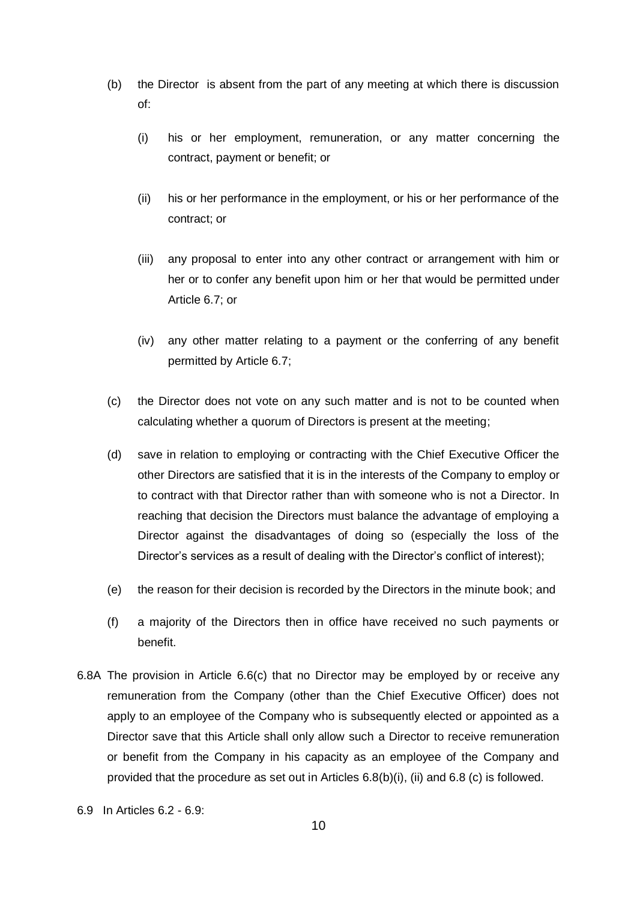- (b) the Director is absent from the part of any meeting at which there is discussion of:
	- (i) his or her employment, remuneration, or any matter concerning the contract, payment or benefit; or
	- (ii) his or her performance in the employment, or his or her performance of the contract; or
	- (iii) any proposal to enter into any other contract or arrangement with him or her or to confer any benefit upon him or her that would be permitted under Article 6.7; or
	- (iv) any other matter relating to a payment or the conferring of any benefit permitted by Article 6.7;
- (c) the Director does not vote on any such matter and is not to be counted when calculating whether a quorum of Directors is present at the meeting;
- (d) save in relation to employing or contracting with the Chief Executive Officer the other Directors are satisfied that it is in the interests of the Company to employ or to contract with that Director rather than with someone who is not a Director. In reaching that decision the Directors must balance the advantage of employing a Director against the disadvantages of doing so (especially the loss of the Director's services as a result of dealing with the Director's conflict of interest);
- (e) the reason for their decision is recorded by the Directors in the minute book; and
- (f) a majority of the Directors then in office have received no such payments or benefit.
- 6.8A The provision in Article 6.6(c) that no Director may be employed by or receive any remuneration from the Company (other than the Chief Executive Officer) does not apply to an employee of the Company who is subsequently elected or appointed as a Director save that this Article shall only allow such a Director to receive remuneration or benefit from the Company in his capacity as an employee of the Company and provided that the procedure as set out in Articles 6.8(b)(i), (ii) and 6.8 (c) is followed.
- 6.9 In Articles 6.2 6.9: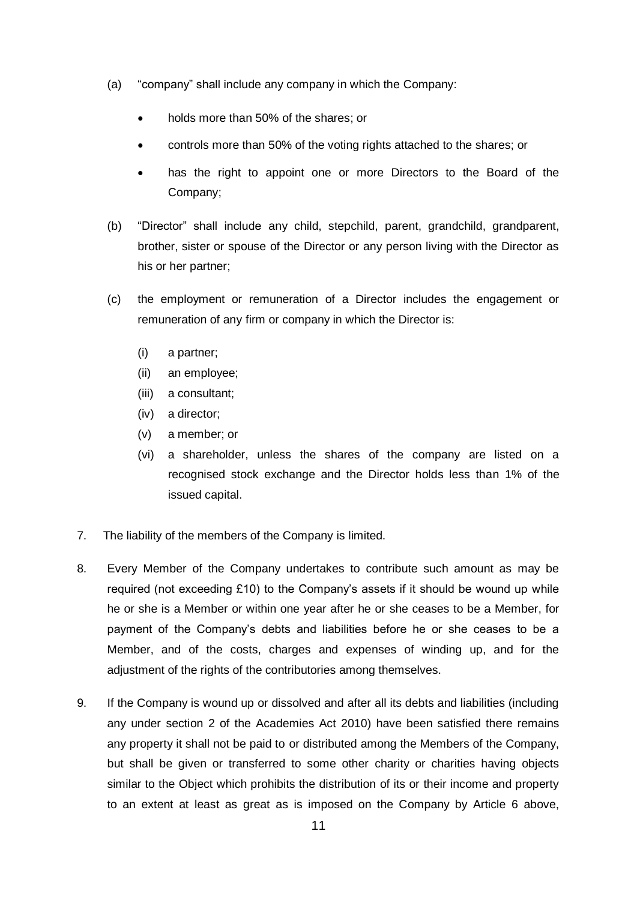- (a) "company" shall include any company in which the Company:
	- holds more than 50% of the shares; or
	- controls more than 50% of the voting rights attached to the shares; or
	- has the right to appoint one or more Directors to the Board of the Company;
- (b) "Director" shall include any child, stepchild, parent, grandchild, grandparent, brother, sister or spouse of the Director or any person living with the Director as his or her partner;
- (c) the employment or remuneration of a Director includes the engagement or remuneration of any firm or company in which the Director is:
	- (i) a partner;
	- (ii) an employee;
	- (iii) a consultant;
	- (iv) a director;
	- (v) a member; or
	- (vi) a shareholder, unless the shares of the company are listed on a recognised stock exchange and the Director holds less than 1% of the issued capital.
- 7. The liability of the members of the Company is limited.
- 8. Every Member of the Company undertakes to contribute such amount as may be required (not exceeding £10) to the Company's assets if it should be wound up while he or she is a Member or within one year after he or she ceases to be a Member, for payment of the Company's debts and liabilities before he or she ceases to be a Member, and of the costs, charges and expenses of winding up, and for the adjustment of the rights of the contributories among themselves.
- 9. If the Company is wound up or dissolved and after all its debts and liabilities (including any under section 2 of the Academies Act 2010) have been satisfied there remains any property it shall not be paid to or distributed among the Members of the Company, but shall be given or transferred to some other charity or charities having objects similar to the Object which prohibits the distribution of its or their income and property to an extent at least as great as is imposed on the Company by Article 6 above,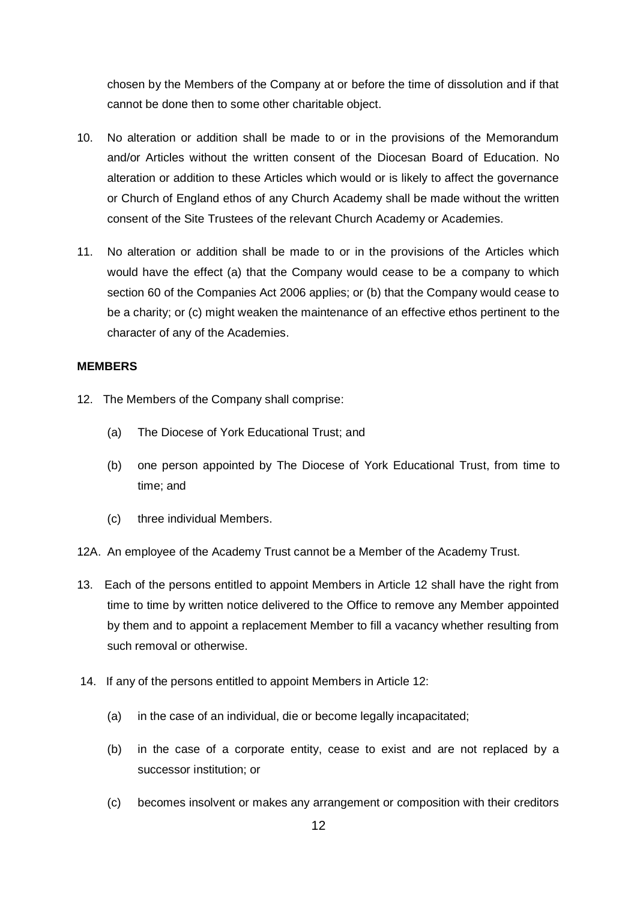chosen by the Members of the Company at or before the time of dissolution and if that cannot be done then to some other charitable object.

- 10. No alteration or addition shall be made to or in the provisions of the Memorandum and/or Articles without the written consent of the Diocesan Board of Education. No alteration or addition to these Articles which would or is likely to affect the governance or Church of England ethos of any Church Academy shall be made without the written consent of the Site Trustees of the relevant Church Academy or Academies.
- 11. No alteration or addition shall be made to or in the provisions of the Articles which would have the effect (a) that the Company would cease to be a company to which section 60 of the Companies Act 2006 applies; or (b) that the Company would cease to be a charity; or (c) might weaken the maintenance of an effective ethos pertinent to the character of any of the Academies.

### **MEMBERS**

- 12. The Members of the Company shall comprise:
	- (a) The Diocese of York Educational Trust; and
	- (b) one person appointed by The Diocese of York Educational Trust, from time to time; and
	- (c) three individual Members.
- 12A. An employee of the Academy Trust cannot be a Member of the Academy Trust.
- 13. Each of the persons entitled to appoint Members in Article 12 shall have the right from time to time by written notice delivered to the Office to remove any Member appointed by them and to appoint a replacement Member to fill a vacancy whether resulting from such removal or otherwise.
- 14. If any of the persons entitled to appoint Members in Article 12:
	- (a) in the case of an individual, die or become legally incapacitated;
	- (b) in the case of a corporate entity, cease to exist and are not replaced by a successor institution; or
	- (c) becomes insolvent or makes any arrangement or composition with their creditors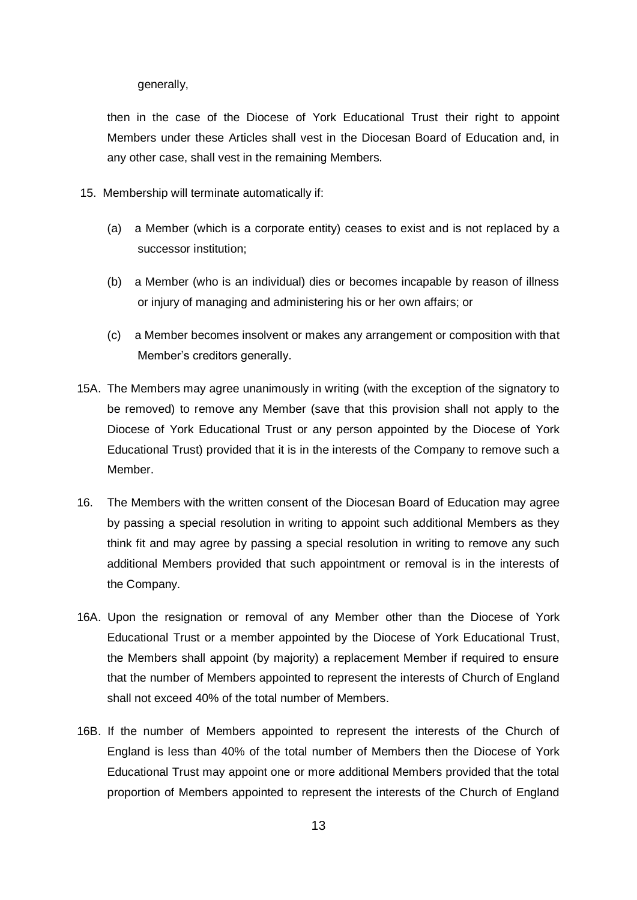generally,

then in the case of the Diocese of York Educational Trust their right to appoint Members under these Articles shall vest in the Diocesan Board of Education and, in any other case, shall vest in the remaining Members.

- 15. Membership will terminate automatically if:
	- (a) a Member (which is a corporate entity) ceases to exist and is not replaced by a successor institution;
	- (b) a Member (who is an individual) dies or becomes incapable by reason of illness or injury of managing and administering his or her own affairs; or
	- (c) a Member becomes insolvent or makes any arrangement or composition with that Member's creditors generally.
- 15A. The Members may agree unanimously in writing (with the exception of the signatory to be removed) to remove any Member (save that this provision shall not apply to the Diocese of York Educational Trust or any person appointed by the Diocese of York Educational Trust) provided that it is in the interests of the Company to remove such a Member.
- 16. The Members with the written consent of the Diocesan Board of Education may agree by passing a special resolution in writing to appoint such additional Members as they think fit and may agree by passing a special resolution in writing to remove any such additional Members provided that such appointment or removal is in the interests of the Company.
- 16A. Upon the resignation or removal of any Member other than the Diocese of York Educational Trust or a member appointed by the Diocese of York Educational Trust, the Members shall appoint (by majority) a replacement Member if required to ensure that the number of Members appointed to represent the interests of Church of England shall not exceed 40% of the total number of Members.
- 16B. If the number of Members appointed to represent the interests of the Church of England is less than 40% of the total number of Members then the Diocese of York Educational Trust may appoint one or more additional Members provided that the total proportion of Members appointed to represent the interests of the Church of England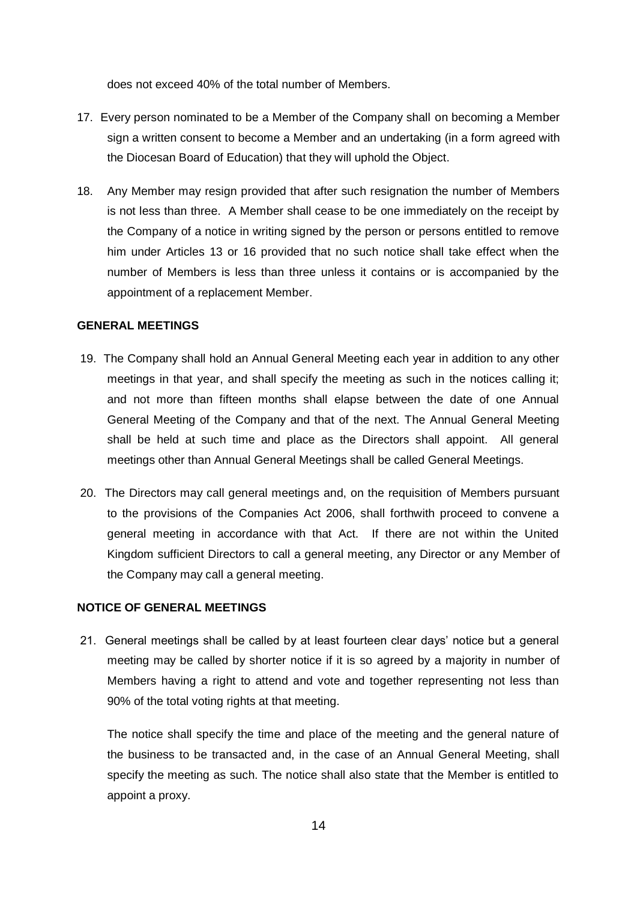does not exceed 40% of the total number of Members.

- 17. Every person nominated to be a Member of the Company shall on becoming a Member sign a written consent to become a Member and an undertaking (in a form agreed with the Diocesan Board of Education) that they will uphold the Object.
- 18. Any Member may resign provided that after such resignation the number of Members is not less than three. A Member shall cease to be one immediately on the receipt by the Company of a notice in writing signed by the person or persons entitled to remove him under Articles 13 or 16 provided that no such notice shall take effect when the number of Members is less than three unless it contains or is accompanied by the appointment of a replacement Member.

# **GENERAL MEETINGS**

- 19. The Company shall hold an Annual General Meeting each year in addition to any other meetings in that year, and shall specify the meeting as such in the notices calling it; and not more than fifteen months shall elapse between the date of one Annual General Meeting of the Company and that of the next. The Annual General Meeting shall be held at such time and place as the Directors shall appoint. All general meetings other than Annual General Meetings shall be called General Meetings.
- 20. The Directors may call general meetings and, on the requisition of Members pursuant to the provisions of the Companies Act 2006, shall forthwith proceed to convene a general meeting in accordance with that Act. If there are not within the United Kingdom sufficient Directors to call a general meeting, any Director or any Member of the Company may call a general meeting.

# **NOTICE OF GENERAL MEETINGS**

21. General meetings shall be called by at least fourteen clear days' notice but a general meeting may be called by shorter notice if it is so agreed by a majority in number of Members having a right to attend and vote and together representing not less than 90% of the total voting rights at that meeting.

The notice shall specify the time and place of the meeting and the general nature of the business to be transacted and, in the case of an Annual General Meeting, shall specify the meeting as such. The notice shall also state that the Member is entitled to appoint a proxy.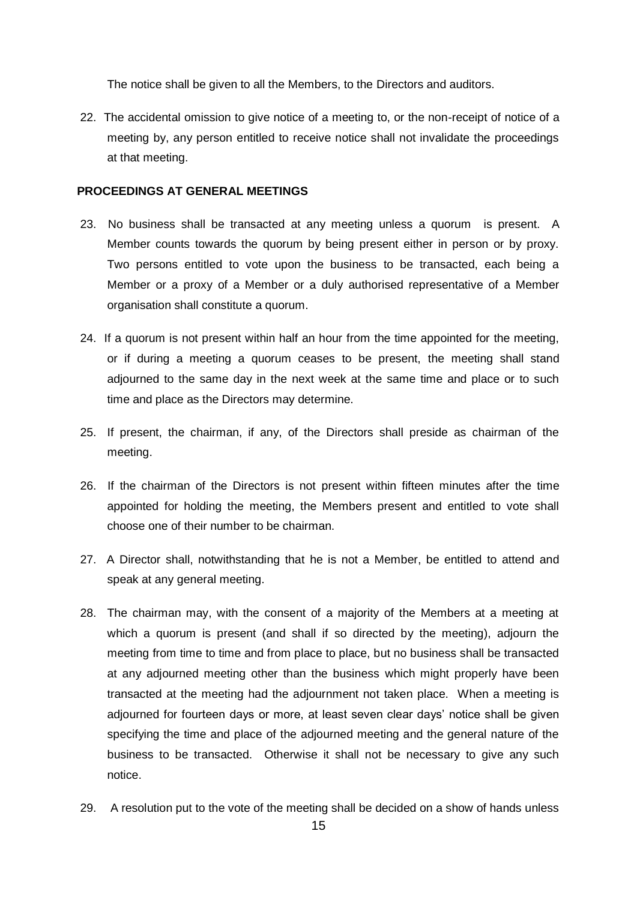The notice shall be given to all the Members, to the Directors and auditors.

22. The accidental omission to give notice of a meeting to, or the non-receipt of notice of a meeting by, any person entitled to receive notice shall not invalidate the proceedings at that meeting.

### **PROCEEDINGS AT GENERAL MEETINGS**

- 23. No business shall be transacted at any meeting unless a quorum is present. A Member counts towards the quorum by being present either in person or by proxy. Two persons entitled to vote upon the business to be transacted, each being a Member or a proxy of a Member or a duly authorised representative of a Member organisation shall constitute a quorum.
- 24. If a quorum is not present within half an hour from the time appointed for the meeting, or if during a meeting a quorum ceases to be present, the meeting shall stand adjourned to the same day in the next week at the same time and place or to such time and place as the Directors may determine.
- 25. If present, the chairman, if any, of the Directors shall preside as chairman of the meeting.
- 26. If the chairman of the Directors is not present within fifteen minutes after the time appointed for holding the meeting, the Members present and entitled to vote shall choose one of their number to be chairman.
- 27. A Director shall, notwithstanding that he is not a Member, be entitled to attend and speak at any general meeting.
- 28. The chairman may, with the consent of a majority of the Members at a meeting at which a quorum is present (and shall if so directed by the meeting), adjourn the meeting from time to time and from place to place, but no business shall be transacted at any adjourned meeting other than the business which might properly have been transacted at the meeting had the adjournment not taken place. When a meeting is adjourned for fourteen days or more, at least seven clear days' notice shall be given specifying the time and place of the adjourned meeting and the general nature of the business to be transacted. Otherwise it shall not be necessary to give any such notice.
- 29. A resolution put to the vote of the meeting shall be decided on a show of hands unless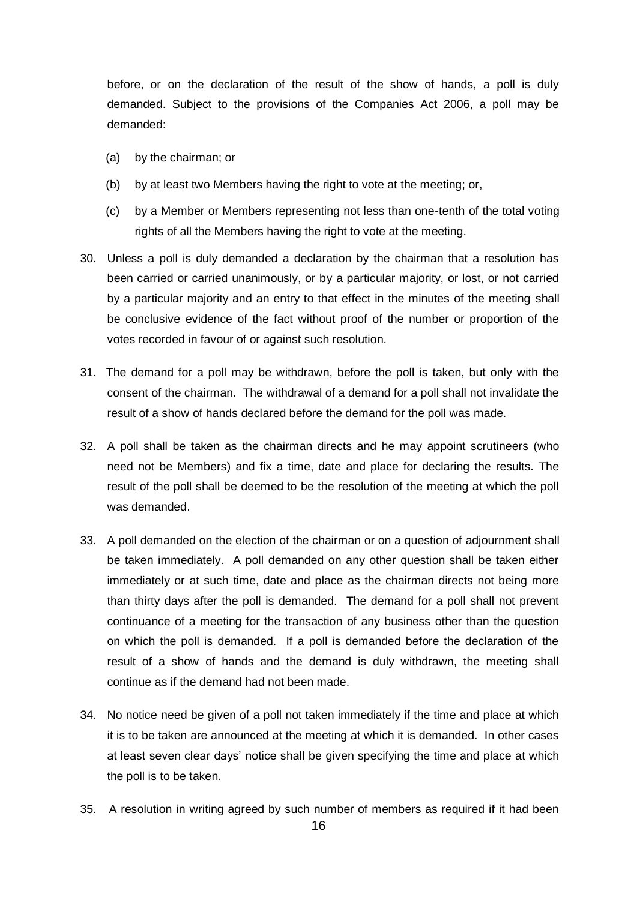before, or on the declaration of the result of the show of hands, a poll is duly demanded. Subject to the provisions of the Companies Act 2006, a poll may be demanded:

- (a) by the chairman; or
- (b) by at least two Members having the right to vote at the meeting; or,
- (c) by a Member or Members representing not less than one-tenth of the total voting rights of all the Members having the right to vote at the meeting.
- 30. Unless a poll is duly demanded a declaration by the chairman that a resolution has been carried or carried unanimously, or by a particular majority, or lost, or not carried by a particular majority and an entry to that effect in the minutes of the meeting shall be conclusive evidence of the fact without proof of the number or proportion of the votes recorded in favour of or against such resolution.
- 31. The demand for a poll may be withdrawn, before the poll is taken, but only with the consent of the chairman. The withdrawal of a demand for a poll shall not invalidate the result of a show of hands declared before the demand for the poll was made.
- 32. A poll shall be taken as the chairman directs and he may appoint scrutineers (who need not be Members) and fix a time, date and place for declaring the results. The result of the poll shall be deemed to be the resolution of the meeting at which the poll was demanded.
- 33. A poll demanded on the election of the chairman or on a question of adjournment shall be taken immediately. A poll demanded on any other question shall be taken either immediately or at such time, date and place as the chairman directs not being more than thirty days after the poll is demanded. The demand for a poll shall not prevent continuance of a meeting for the transaction of any business other than the question on which the poll is demanded. If a poll is demanded before the declaration of the result of a show of hands and the demand is duly withdrawn, the meeting shall continue as if the demand had not been made.
- 34. No notice need be given of a poll not taken immediately if the time and place at which it is to be taken are announced at the meeting at which it is demanded. In other cases at least seven clear days' notice shall be given specifying the time and place at which the poll is to be taken.
- 35. A resolution in writing agreed by such number of members as required if it had been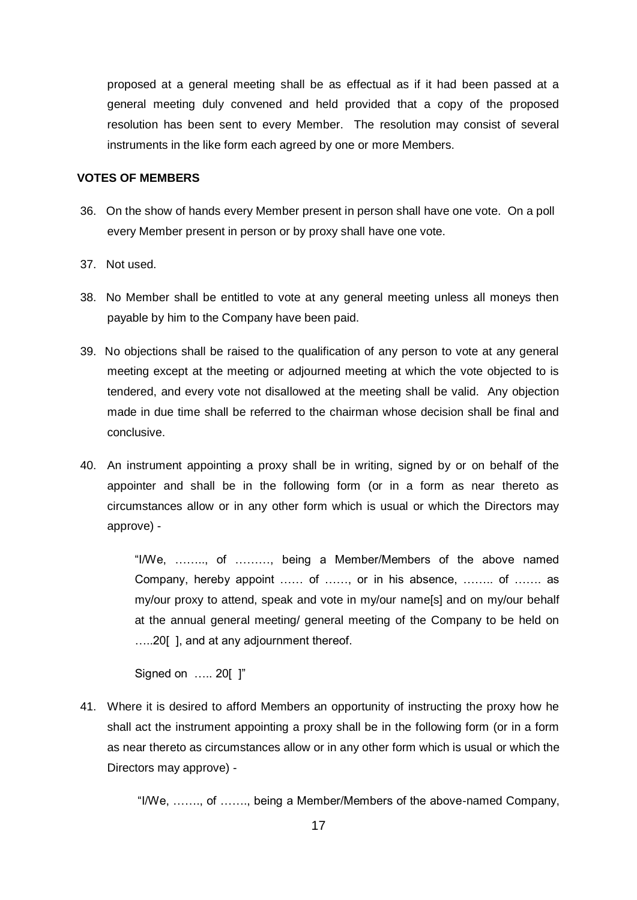proposed at a general meeting shall be as effectual as if it had been passed at a general meeting duly convened and held provided that a copy of the proposed resolution has been sent to every Member. The resolution may consist of several instruments in the like form each agreed by one or more Members.

#### **VOTES OF MEMBERS**

- 36. On the show of hands every Member present in person shall have one vote. On a poll every Member present in person or by proxy shall have one vote.
- 37. Not used.
- 38. No Member shall be entitled to vote at any general meeting unless all moneys then payable by him to the Company have been paid.
- 39. No objections shall be raised to the qualification of any person to vote at any general meeting except at the meeting or adjourned meeting at which the vote objected to is tendered, and every vote not disallowed at the meeting shall be valid. Any objection made in due time shall be referred to the chairman whose decision shall be final and conclusive.
- 40. An instrument appointing a proxy shall be in writing, signed by or on behalf of the appointer and shall be in the following form (or in a form as near thereto as circumstances allow or in any other form which is usual or which the Directors may approve) -

"I/We, …….., of ………, being a Member/Members of the above named Company, hereby appoint …… of ……, or in his absence, …….. of ……. as my/our proxy to attend, speak and vote in my/our name[s] and on my/our behalf at the annual general meeting/ general meeting of the Company to be held on …..20[ ], and at any adjournment thereof.

Signed on ..... 201 1"

41. Where it is desired to afford Members an opportunity of instructing the proxy how he shall act the instrument appointing a proxy shall be in the following form (or in a form as near thereto as circumstances allow or in any other form which is usual or which the Directors may approve) -

"I/We, ……., of ……., being a Member/Members of the above-named Company,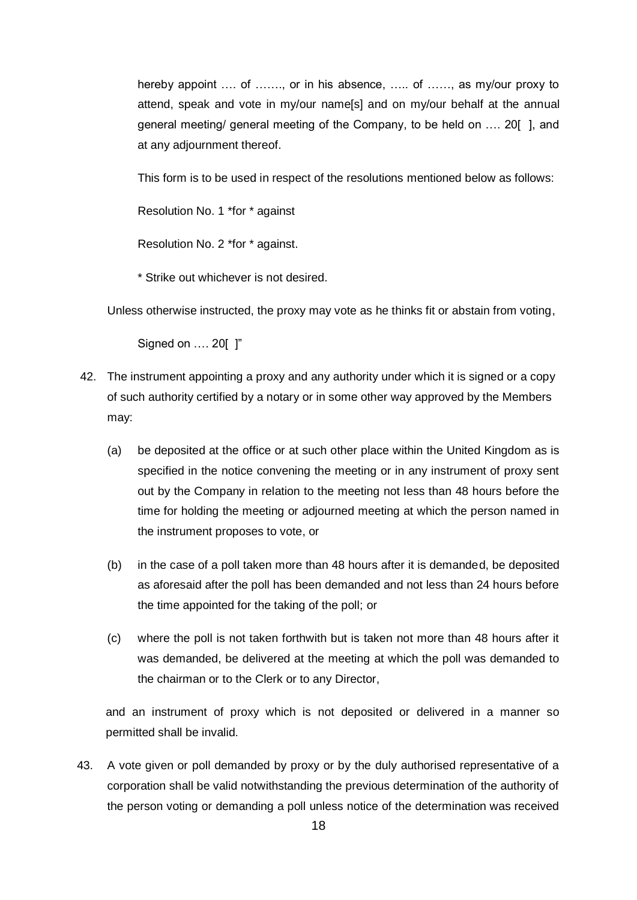hereby appoint .... of ......., or in his absence, ..... of ......, as my/our proxy to attend, speak and vote in my/our name[s] and on my/our behalf at the annual general meeting/ general meeting of the Company, to be held on …. 20[ ], and at any adjournment thereof.

This form is to be used in respect of the resolutions mentioned below as follows:

Resolution No. 1 \*for \* against

Resolution No. 2 \*for \* against.

\* Strike out whichever is not desired.

Unless otherwise instructed, the proxy may vote as he thinks fit or abstain from voting,

Signed on …. 20[ ]"

- 42. The instrument appointing a proxy and any authority under which it is signed or a copy of such authority certified by a notary or in some other way approved by the Members may:
	- (a) be deposited at the office or at such other place within the United Kingdom as is specified in the notice convening the meeting or in any instrument of proxy sent out by the Company in relation to the meeting not less than 48 hours before the time for holding the meeting or adjourned meeting at which the person named in the instrument proposes to vote, or
	- (b) in the case of a poll taken more than 48 hours after it is demanded, be deposited as aforesaid after the poll has been demanded and not less than 24 hours before the time appointed for the taking of the poll; or
	- (c) where the poll is not taken forthwith but is taken not more than 48 hours after it was demanded, be delivered at the meeting at which the poll was demanded to the chairman or to the Clerk or to any Director,

and an instrument of proxy which is not deposited or delivered in a manner so permitted shall be invalid.

43. A vote given or poll demanded by proxy or by the duly authorised representative of a corporation shall be valid notwithstanding the previous determination of the authority of the person voting or demanding a poll unless notice of the determination was received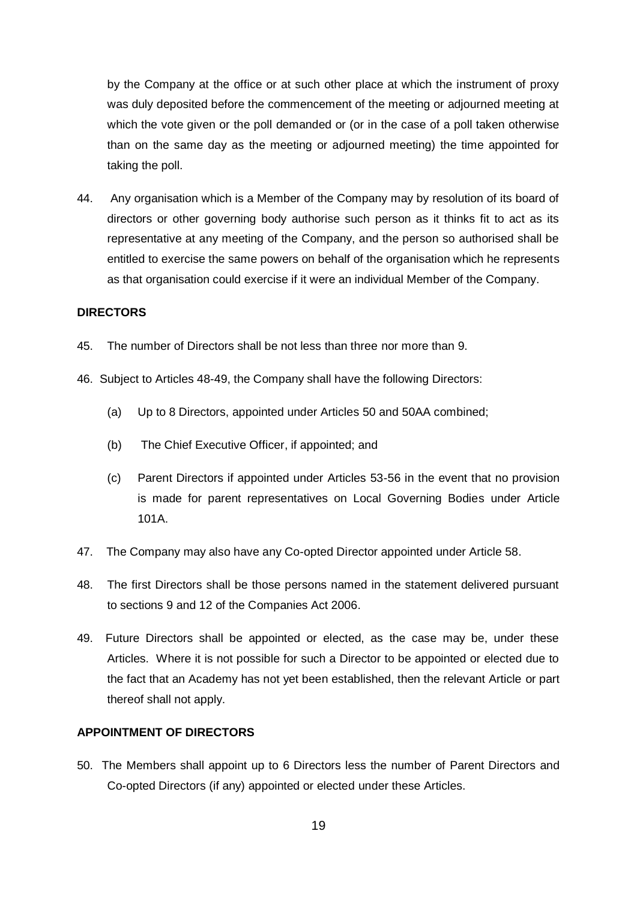by the Company at the office or at such other place at which the instrument of proxy was duly deposited before the commencement of the meeting or adjourned meeting at which the vote given or the poll demanded or (or in the case of a poll taken otherwise than on the same day as the meeting or adjourned meeting) the time appointed for taking the poll.

44. Any organisation which is a Member of the Company may by resolution of its board of directors or other governing body authorise such person as it thinks fit to act as its representative at any meeting of the Company, and the person so authorised shall be entitled to exercise the same powers on behalf of the organisation which he represents as that organisation could exercise if it were an individual Member of the Company.

### **DIRECTORS**

- 45. The number of Directors shall be not less than three nor more than 9.
- 46. Subject to Articles 48-49, the Company shall have the following Directors:
	- (a) Up to 8 Directors, appointed under Articles 50 and 50AA combined;
	- (b) The Chief Executive Officer, if appointed; and
	- (c) Parent Directors if appointed under Articles 53-56 in the event that no provision is made for parent representatives on Local Governing Bodies under Article 101A.
- 47. The Company may also have any Co-opted Director appointed under Article 58.
- 48. The first Directors shall be those persons named in the statement delivered pursuant to sections 9 and 12 of the Companies Act 2006.
- 49. Future Directors shall be appointed or elected, as the case may be, under these Articles. Where it is not possible for such a Director to be appointed or elected due to the fact that an Academy has not yet been established, then the relevant Article or part thereof shall not apply.

### **APPOINTMENT OF DIRECTORS**

50. The Members shall appoint up to 6 Directors less the number of Parent Directors and Co-opted Directors (if any) appointed or elected under these Articles.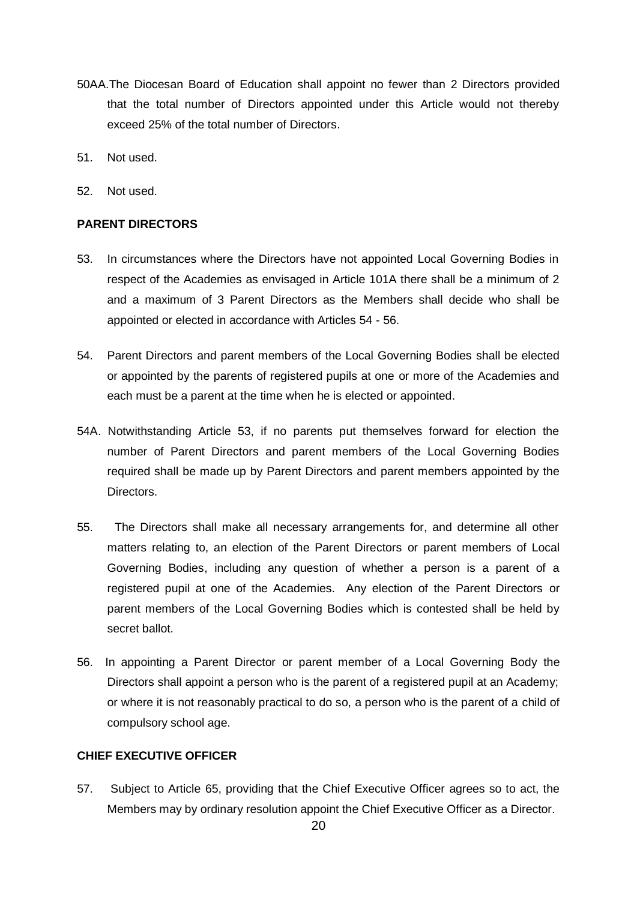- 50AA.The Diocesan Board of Education shall appoint no fewer than 2 Directors provided that the total number of Directors appointed under this Article would not thereby exceed 25% of the total number of Directors.
- 51. Not used.
- 52. Not used.

# **PARENT DIRECTORS**

- 53. In circumstances where the Directors have not appointed Local Governing Bodies in respect of the Academies as envisaged in Article 101A there shall be a minimum of 2 and a maximum of 3 Parent Directors as the Members shall decide who shall be appointed or elected in accordance with Articles 54 - 56.
- 54. Parent Directors and parent members of the Local Governing Bodies shall be elected or appointed by the parents of registered pupils at one or more of the Academies and each must be a parent at the time when he is elected or appointed.
- 54A. Notwithstanding Article 53, if no parents put themselves forward for election the number of Parent Directors and parent members of the Local Governing Bodies required shall be made up by Parent Directors and parent members appointed by the Directors.
- 55. The Directors shall make all necessary arrangements for, and determine all other matters relating to, an election of the Parent Directors or parent members of Local Governing Bodies, including any question of whether a person is a parent of a registered pupil at one of the Academies. Any election of the Parent Directors or parent members of the Local Governing Bodies which is contested shall be held by secret ballot.
- 56. In appointing a Parent Director or parent member of a Local Governing Body the Directors shall appoint a person who is the parent of a registered pupil at an Academy; or where it is not reasonably practical to do so, a person who is the parent of a child of compulsory school age.

# **CHIEF EXECUTIVE OFFICER**

57. Subject to Article 65, providing that the Chief Executive Officer agrees so to act, the Members may by ordinary resolution appoint the Chief Executive Officer as a Director.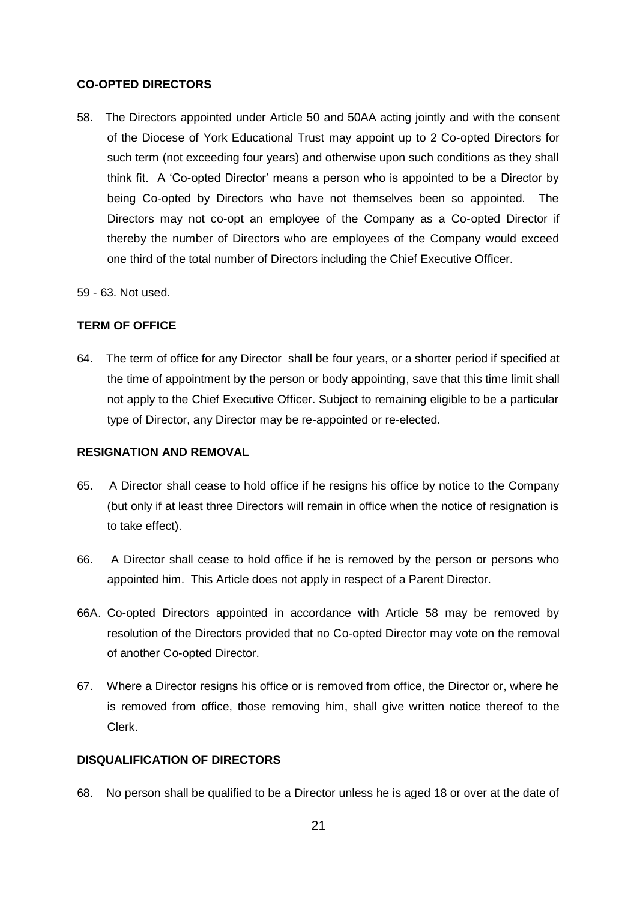## **CO-OPTED DIRECTORS**

- 58. The Directors appointed under Article 50 and 50AA acting jointly and with the consent of the Diocese of York Educational Trust may appoint up to 2 Co-opted Directors for such term (not exceeding four years) and otherwise upon such conditions as they shall think fit. A 'Co-opted Director' means a person who is appointed to be a Director by being Co-opted by Directors who have not themselves been so appointed. The Directors may not co-opt an employee of the Company as a Co-opted Director if thereby the number of Directors who are employees of the Company would exceed one third of the total number of Directors including the Chief Executive Officer.
- 59 63. Not used.

# **TERM OF OFFICE**

64. The term of office for any Director shall be four years, or a shorter period if specified at the time of appointment by the person or body appointing, save that this time limit shall not apply to the Chief Executive Officer. Subject to remaining eligible to be a particular type of Director, any Director may be re-appointed or re-elected.

# **RESIGNATION AND REMOVAL**

- 65. A Director shall cease to hold office if he resigns his office by notice to the Company (but only if at least three Directors will remain in office when the notice of resignation is to take effect).
- 66. A Director shall cease to hold office if he is removed by the person or persons who appointed him. This Article does not apply in respect of a Parent Director.
- 66A. Co-opted Directors appointed in accordance with Article 58 may be removed by resolution of the Directors provided that no Co-opted Director may vote on the removal of another Co-opted Director.
- 67. Where a Director resigns his office or is removed from office, the Director or, where he is removed from office, those removing him, shall give written notice thereof to the Clerk.

# **DISQUALIFICATION OF DIRECTORS**

68. No person shall be qualified to be a Director unless he is aged 18 or over at the date of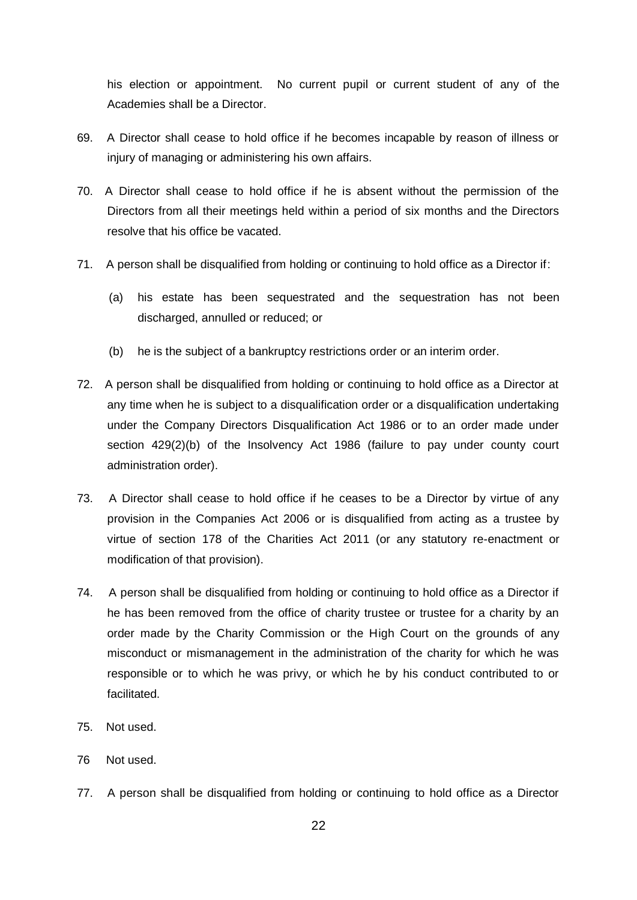his election or appointment. No current pupil or current student of any of the Academies shall be a Director.

- 69. A Director shall cease to hold office if he becomes incapable by reason of illness or injury of managing or administering his own affairs.
- 70. A Director shall cease to hold office if he is absent without the permission of the Directors from all their meetings held within a period of six months and the Directors resolve that his office be vacated.
- 71. A person shall be disqualified from holding or continuing to hold office as a Director if:
	- (a) his estate has been sequestrated and the sequestration has not been discharged, annulled or reduced; or
	- (b) he is the subject of a bankruptcy restrictions order or an interim order.
- 72. A person shall be disqualified from holding or continuing to hold office as a Director at any time when he is subject to a disqualification order or a disqualification undertaking under the Company Directors Disqualification Act 1986 or to an order made under section 429(2)(b) of the Insolvency Act 1986 (failure to pay under county court administration order).
- 73. A Director shall cease to hold office if he ceases to be a Director by virtue of any provision in the Companies Act 2006 or is disqualified from acting as a trustee by virtue of section 178 of the Charities Act 2011 (or any statutory re-enactment or modification of that provision).
- 74. A person shall be disqualified from holding or continuing to hold office as a Director if he has been removed from the office of charity trustee or trustee for a charity by an order made by the Charity Commission or the High Court on the grounds of any misconduct or mismanagement in the administration of the charity for which he was responsible or to which he was privy, or which he by his conduct contributed to or facilitated.
- 75. Not used.
- 76 Not used.
- 77. A person shall be disqualified from holding or continuing to hold office as a Director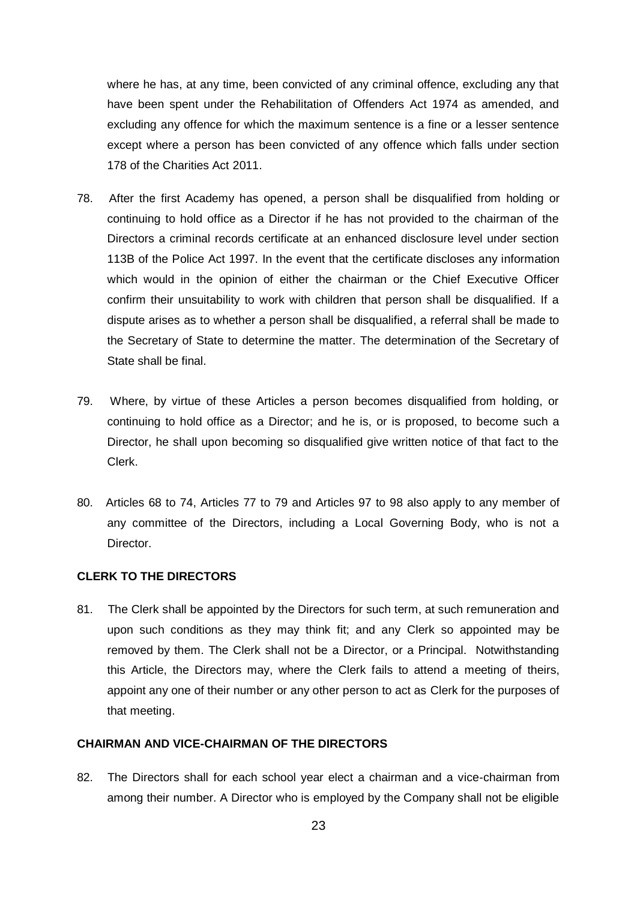where he has, at any time, been convicted of any criminal offence, excluding any that have been spent under the Rehabilitation of Offenders Act 1974 as amended, and excluding any offence for which the maximum sentence is a fine or a lesser sentence except where a person has been convicted of any offence which falls under section 178 of the Charities Act 2011.

- 78. After the first Academy has opened, a person shall be disqualified from holding or continuing to hold office as a Director if he has not provided to the chairman of the Directors a criminal records certificate at an enhanced disclosure level under section 113B of the Police Act 1997. In the event that the certificate discloses any information which would in the opinion of either the chairman or the Chief Executive Officer confirm their unsuitability to work with children that person shall be disqualified. If a dispute arises as to whether a person shall be disqualified, a referral shall be made to the Secretary of State to determine the matter. The determination of the Secretary of State shall be final.
- 79. Where, by virtue of these Articles a person becomes disqualified from holding, or continuing to hold office as a Director; and he is, or is proposed, to become such a Director, he shall upon becoming so disqualified give written notice of that fact to the Clerk.
- 80. Articles 68 to 74, Articles 77 to 79 and Articles 97 to 98 also apply to any member of any committee of the Directors, including a Local Governing Body, who is not a Director.

### **CLERK TO THE DIRECTORS**

81. The Clerk shall be appointed by the Directors for such term, at such remuneration and upon such conditions as they may think fit; and any Clerk so appointed may be removed by them. The Clerk shall not be a Director, or a Principal. Notwithstanding this Article, the Directors may, where the Clerk fails to attend a meeting of theirs, appoint any one of their number or any other person to act as Clerk for the purposes of that meeting.

## **CHAIRMAN AND VICE-CHAIRMAN OF THE DIRECTORS**

82. The Directors shall for each school year elect a chairman and a vice-chairman from among their number. A Director who is employed by the Company shall not be eligible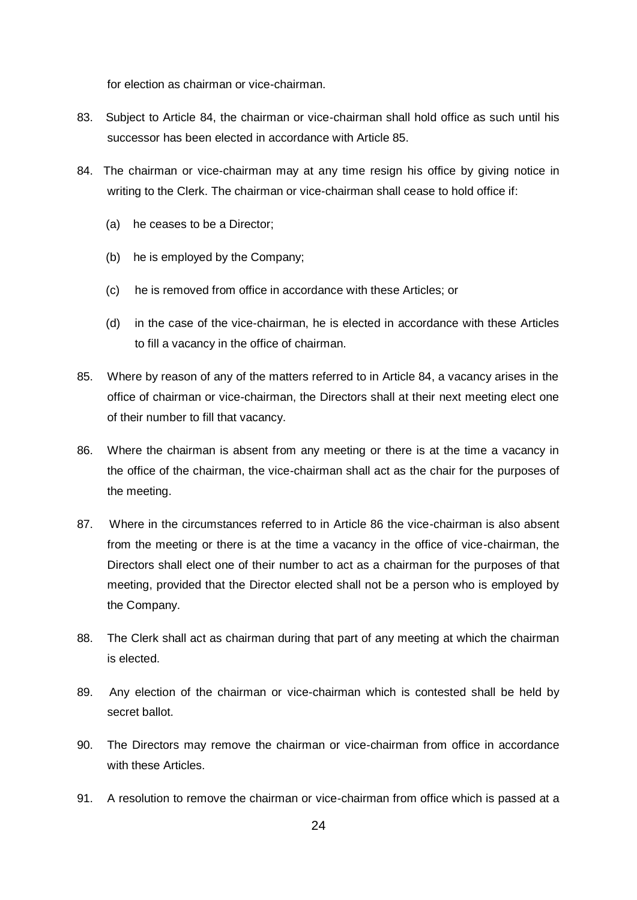for election as chairman or vice-chairman.

- 83. Subject to Article 84, the chairman or vice-chairman shall hold office as such until his successor has been elected in accordance with Article 85.
- 84. The chairman or vice-chairman may at any time resign his office by giving notice in writing to the Clerk. The chairman or vice-chairman shall cease to hold office if:
	- (a) he ceases to be a Director;
	- (b) he is employed by the Company;
	- (c) he is removed from office in accordance with these Articles; or
	- (d) in the case of the vice-chairman, he is elected in accordance with these Articles to fill a vacancy in the office of chairman.
- 85. Where by reason of any of the matters referred to in Article 84, a vacancy arises in the office of chairman or vice-chairman, the Directors shall at their next meeting elect one of their number to fill that vacancy.
- 86. Where the chairman is absent from any meeting or there is at the time a vacancy in the office of the chairman, the vice-chairman shall act as the chair for the purposes of the meeting.
- 87. Where in the circumstances referred to in Article 86 the vice-chairman is also absent from the meeting or there is at the time a vacancy in the office of vice-chairman, the Directors shall elect one of their number to act as a chairman for the purposes of that meeting, provided that the Director elected shall not be a person who is employed by the Company.
- 88. The Clerk shall act as chairman during that part of any meeting at which the chairman is elected.
- 89. Any election of the chairman or vice-chairman which is contested shall be held by secret ballot.
- 90. The Directors may remove the chairman or vice-chairman from office in accordance with these Articles.
- 91. A resolution to remove the chairman or vice-chairman from office which is passed at a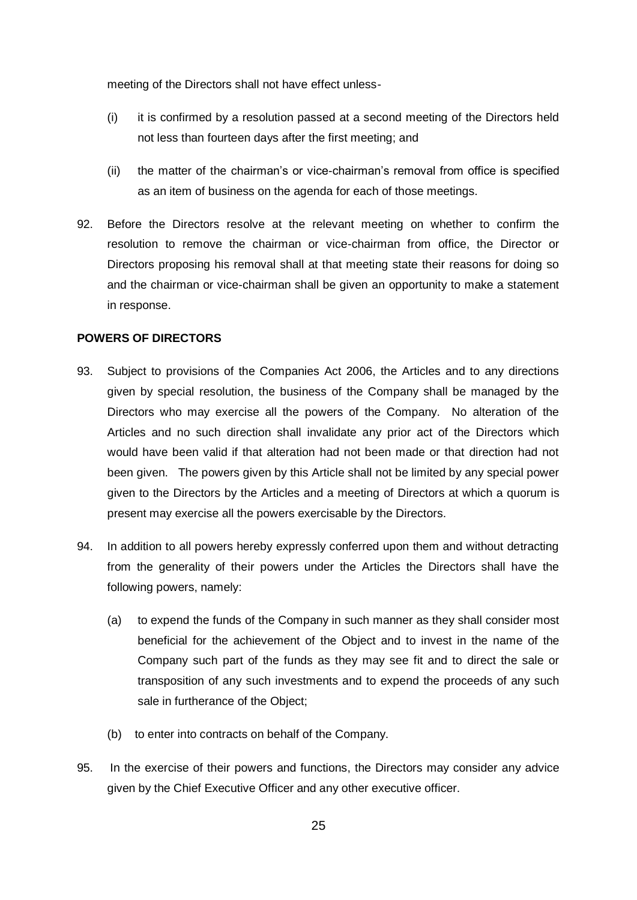meeting of the Directors shall not have effect unless-

- (i) it is confirmed by a resolution passed at a second meeting of the Directors held not less than fourteen days after the first meeting; and
- (ii) the matter of the chairman's or vice-chairman's removal from office is specified as an item of business on the agenda for each of those meetings.
- 92. Before the Directors resolve at the relevant meeting on whether to confirm the resolution to remove the chairman or vice-chairman from office, the Director or Directors proposing his removal shall at that meeting state their reasons for doing so and the chairman or vice-chairman shall be given an opportunity to make a statement in response.

## **POWERS OF DIRECTORS**

- 93. Subject to provisions of the Companies Act 2006, the Articles and to any directions given by special resolution, the business of the Company shall be managed by the Directors who may exercise all the powers of the Company. No alteration of the Articles and no such direction shall invalidate any prior act of the Directors which would have been valid if that alteration had not been made or that direction had not been given. The powers given by this Article shall not be limited by any special power given to the Directors by the Articles and a meeting of Directors at which a quorum is present may exercise all the powers exercisable by the Directors.
- 94. In addition to all powers hereby expressly conferred upon them and without detracting from the generality of their powers under the Articles the Directors shall have the following powers, namely:
	- (a) to expend the funds of the Company in such manner as they shall consider most beneficial for the achievement of the Object and to invest in the name of the Company such part of the funds as they may see fit and to direct the sale or transposition of any such investments and to expend the proceeds of any such sale in furtherance of the Object;
	- (b) to enter into contracts on behalf of the Company.
- 95. In the exercise of their powers and functions, the Directors may consider any advice given by the Chief Executive Officer and any other executive officer.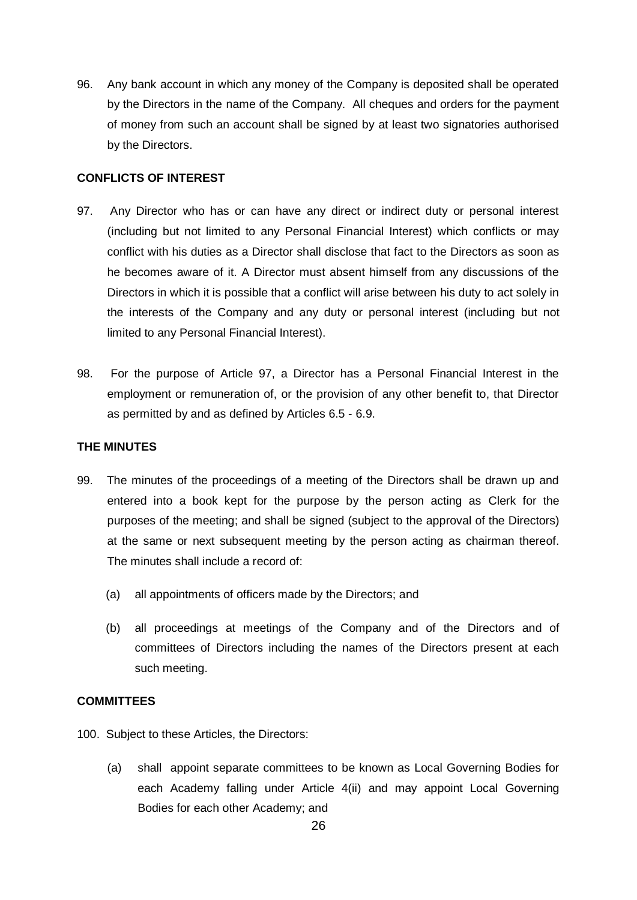96. Any bank account in which any money of the Company is deposited shall be operated by the Directors in the name of the Company. All cheques and orders for the payment of money from such an account shall be signed by at least two signatories authorised by the Directors.

## **CONFLICTS OF INTEREST**

- 97. Any Director who has or can have any direct or indirect duty or personal interest (including but not limited to any Personal Financial Interest) which conflicts or may conflict with his duties as a Director shall disclose that fact to the Directors as soon as he becomes aware of it. A Director must absent himself from any discussions of the Directors in which it is possible that a conflict will arise between his duty to act solely in the interests of the Company and any duty or personal interest (including but not limited to any Personal Financial Interest).
- 98. For the purpose of Article 97, a Director has a Personal Financial Interest in the employment or remuneration of, or the provision of any other benefit to, that Director as permitted by and as defined by Articles 6.5 - 6.9.

### **THE MINUTES**

- 99. The minutes of the proceedings of a meeting of the Directors shall be drawn up and entered into a book kept for the purpose by the person acting as Clerk for the purposes of the meeting; and shall be signed (subject to the approval of the Directors) at the same or next subsequent meeting by the person acting as chairman thereof. The minutes shall include a record of:
	- (a) all appointments of officers made by the Directors; and
	- (b) all proceedings at meetings of the Company and of the Directors and of committees of Directors including the names of the Directors present at each such meeting.

# **COMMITTEES**

- 100. Subject to these Articles, the Directors:
	- (a) shall appoint separate committees to be known as Local Governing Bodies for each Academy falling under Article 4(ii) and may appoint Local Governing Bodies for each other Academy; and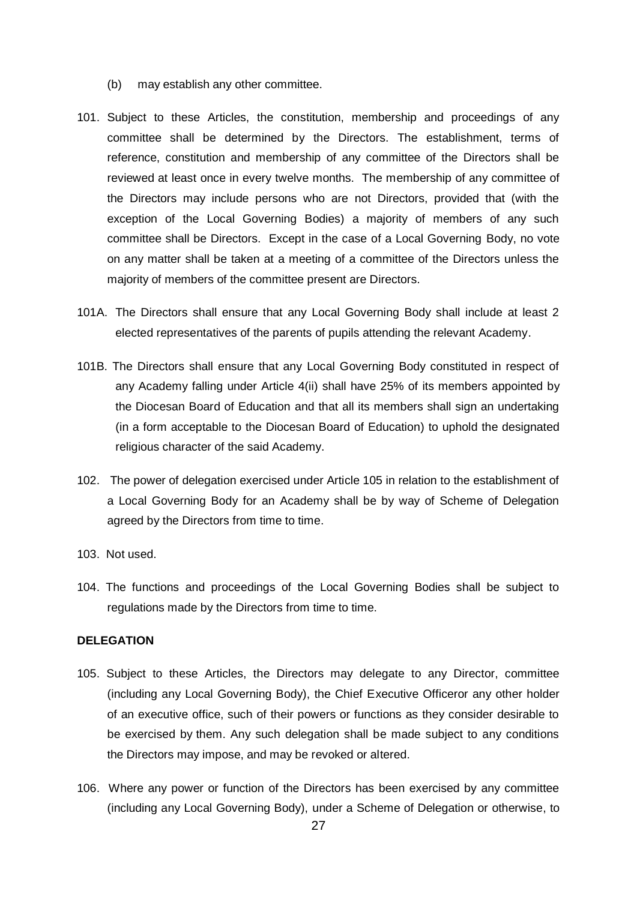- (b) may establish any other committee.
- 101. Subject to these Articles, the constitution, membership and proceedings of any committee shall be determined by the Directors. The establishment, terms of reference, constitution and membership of any committee of the Directors shall be reviewed at least once in every twelve months. The membership of any committee of the Directors may include persons who are not Directors, provided that (with the exception of the Local Governing Bodies) a majority of members of any such committee shall be Directors. Except in the case of a Local Governing Body, no vote on any matter shall be taken at a meeting of a committee of the Directors unless the majority of members of the committee present are Directors.
- 101A. The Directors shall ensure that any Local Governing Body shall include at least 2 elected representatives of the parents of pupils attending the relevant Academy.
- 101B. The Directors shall ensure that any Local Governing Body constituted in respect of any Academy falling under Article 4(ii) shall have 25% of its members appointed by the Diocesan Board of Education and that all its members shall sign an undertaking (in a form acceptable to the Diocesan Board of Education) to uphold the designated religious character of the said Academy.
- 102. The power of delegation exercised under Article 105 in relation to the establishment of a Local Governing Body for an Academy shall be by way of Scheme of Delegation agreed by the Directors from time to time.
- 103. Not used.
- 104. The functions and proceedings of the Local Governing Bodies shall be subject to regulations made by the Directors from time to time.

# **DELEGATION**

- 105. Subject to these Articles, the Directors may delegate to any Director, committee (including any Local Governing Body), the Chief Executive Officeror any other holder of an executive office, such of their powers or functions as they consider desirable to be exercised by them. Any such delegation shall be made subject to any conditions the Directors may impose, and may be revoked or altered.
- 106. Where any power or function of the Directors has been exercised by any committee (including any Local Governing Body), under a Scheme of Delegation or otherwise, to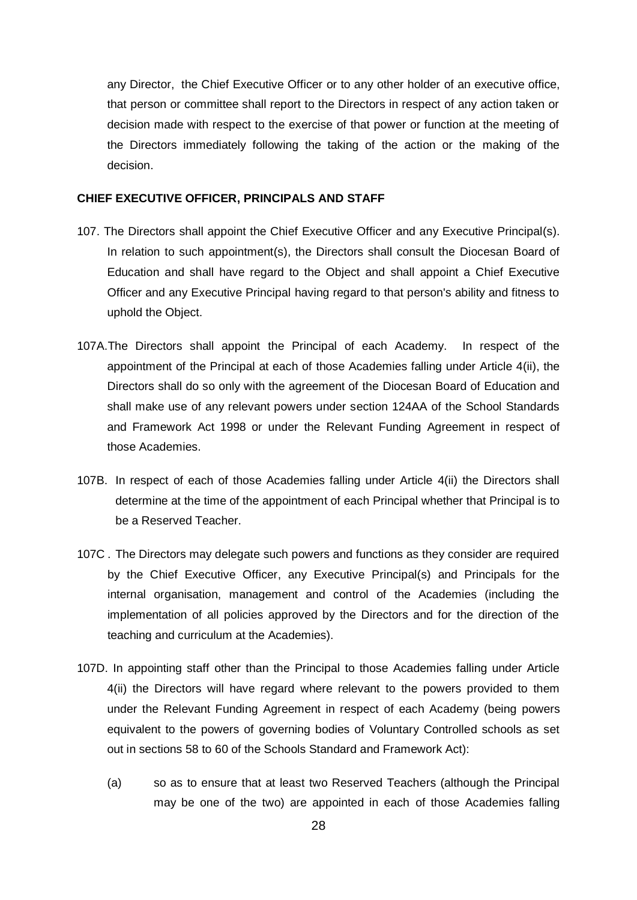any Director, the Chief Executive Officer or to any other holder of an executive office, that person or committee shall report to the Directors in respect of any action taken or decision made with respect to the exercise of that power or function at the meeting of the Directors immediately following the taking of the action or the making of the decision.

#### **CHIEF EXECUTIVE OFFICER, PRINCIPALS AND STAFF**

- 107. The Directors shall appoint the Chief Executive Officer and any Executive Principal(s). In relation to such appointment(s), the Directors shall consult the Diocesan Board of Education and shall have regard to the Object and shall appoint a Chief Executive Officer and any Executive Principal having regard to that person's ability and fitness to uphold the Object.
- 107A.The Directors shall appoint the Principal of each Academy. In respect of the appointment of the Principal at each of those Academies falling under Article 4(ii), the Directors shall do so only with the agreement of the Diocesan Board of Education and shall make use of any relevant powers under section 124AA of the School Standards and Framework Act 1998 or under the Relevant Funding Agreement in respect of those Academies.
- 107B. In respect of each of those Academies falling under Article 4(ii) the Directors shall determine at the time of the appointment of each Principal whether that Principal is to be a Reserved Teacher.
- 107C . The Directors may delegate such powers and functions as they consider are required by the Chief Executive Officer, any Executive Principal(s) and Principals for the internal organisation, management and control of the Academies (including the implementation of all policies approved by the Directors and for the direction of the teaching and curriculum at the Academies).
- 107D. In appointing staff other than the Principal to those Academies falling under Article 4(ii) the Directors will have regard where relevant to the powers provided to them under the Relevant Funding Agreement in respect of each Academy (being powers equivalent to the powers of governing bodies of Voluntary Controlled schools as set out in sections 58 to 60 of the Schools Standard and Framework Act):
	- (a) so as to ensure that at least two Reserved Teachers (although the Principal may be one of the two) are appointed in each of those Academies falling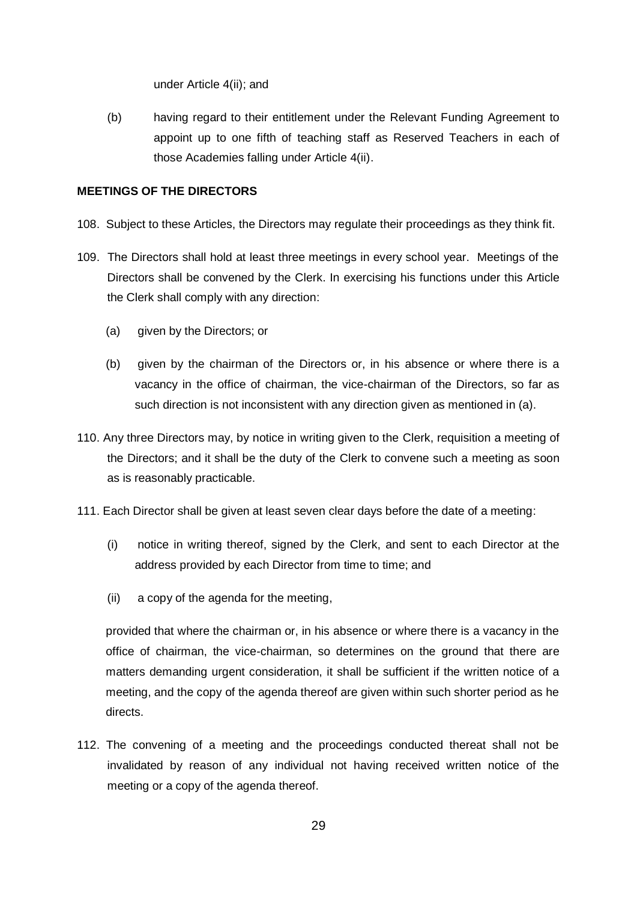under Article 4(ii); and

(b) having regard to their entitlement under the Relevant Funding Agreement to appoint up to one fifth of teaching staff as Reserved Teachers in each of those Academies falling under Article 4(ii).

# **MEETINGS OF THE DIRECTORS**

- 108. Subject to these Articles, the Directors may regulate their proceedings as they think fit.
- 109. The Directors shall hold at least three meetings in every school year. Meetings of the Directors shall be convened by the Clerk. In exercising his functions under this Article the Clerk shall comply with any direction:
	- (a) given by the Directors; or
	- (b) given by the chairman of the Directors or, in his absence or where there is a vacancy in the office of chairman, the vice-chairman of the Directors, so far as such direction is not inconsistent with any direction given as mentioned in (a).
- 110. Any three Directors may, by notice in writing given to the Clerk, requisition a meeting of the Directors; and it shall be the duty of the Clerk to convene such a meeting as soon as is reasonably practicable.
- 111. Each Director shall be given at least seven clear days before the date of a meeting:
	- (i) notice in writing thereof, signed by the Clerk, and sent to each Director at the address provided by each Director from time to time; and
	- (ii) a copy of the agenda for the meeting,

provided that where the chairman or, in his absence or where there is a vacancy in the office of chairman, the vice-chairman, so determines on the ground that there are matters demanding urgent consideration, it shall be sufficient if the written notice of a meeting, and the copy of the agenda thereof are given within such shorter period as he directs.

112. The convening of a meeting and the proceedings conducted thereat shall not be invalidated by reason of any individual not having received written notice of the meeting or a copy of the agenda thereof.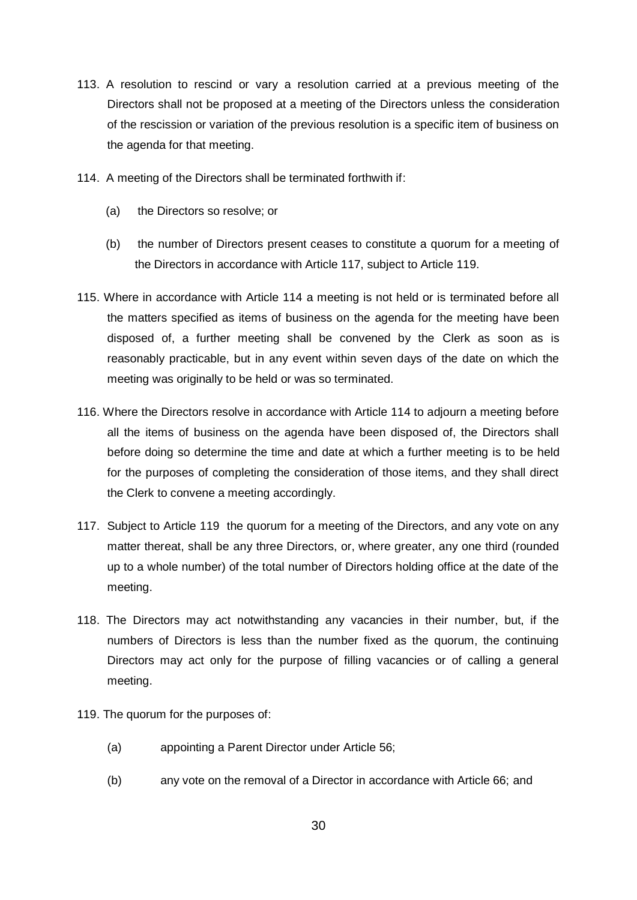- 113. A resolution to rescind or vary a resolution carried at a previous meeting of the Directors shall not be proposed at a meeting of the Directors unless the consideration of the rescission or variation of the previous resolution is a specific item of business on the agenda for that meeting.
- 114. A meeting of the Directors shall be terminated forthwith if:
	- (a) the Directors so resolve; or
	- (b) the number of Directors present ceases to constitute a quorum for a meeting of the Directors in accordance with Article 117, subject to Article 119.
- 115. Where in accordance with Article 114 a meeting is not held or is terminated before all the matters specified as items of business on the agenda for the meeting have been disposed of, a further meeting shall be convened by the Clerk as soon as is reasonably practicable, but in any event within seven days of the date on which the meeting was originally to be held or was so terminated.
- 116. Where the Directors resolve in accordance with Article 114 to adjourn a meeting before all the items of business on the agenda have been disposed of, the Directors shall before doing so determine the time and date at which a further meeting is to be held for the purposes of completing the consideration of those items, and they shall direct the Clerk to convene a meeting accordingly.
- 117. Subject to Article 119 the quorum for a meeting of the Directors, and any vote on any matter thereat, shall be any three Directors, or, where greater, any one third (rounded up to a whole number) of the total number of Directors holding office at the date of the meeting.
- 118. The Directors may act notwithstanding any vacancies in their number, but, if the numbers of Directors is less than the number fixed as the quorum, the continuing Directors may act only for the purpose of filling vacancies or of calling a general meeting.
- 119. The quorum for the purposes of:
	- (a) appointing a Parent Director under Article 56;
	- (b) any vote on the removal of a Director in accordance with Article 66; and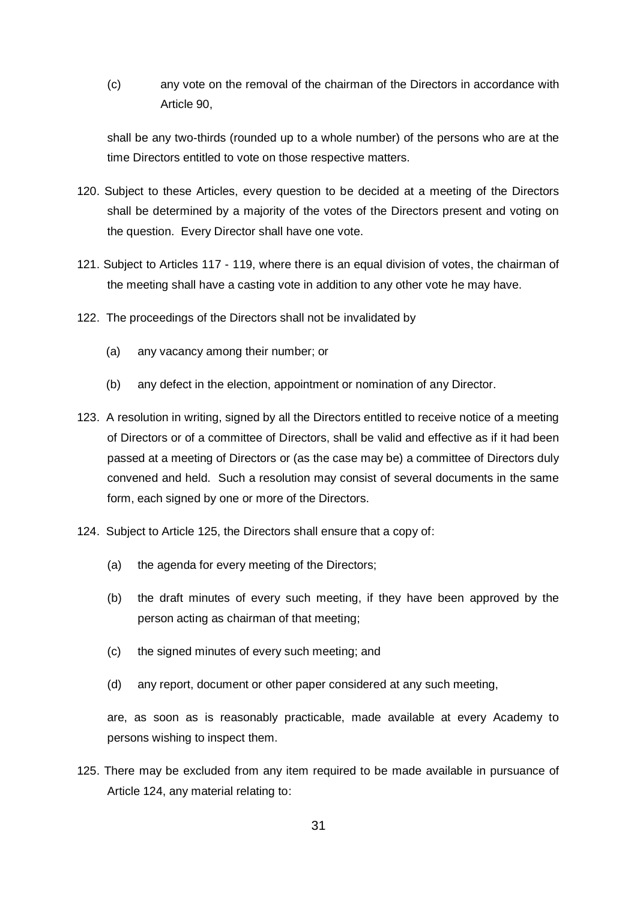(c) any vote on the removal of the chairman of the Directors in accordance with Article 90,

shall be any two-thirds (rounded up to a whole number) of the persons who are at the time Directors entitled to vote on those respective matters.

- 120. Subject to these Articles, every question to be decided at a meeting of the Directors shall be determined by a majority of the votes of the Directors present and voting on the question. Every Director shall have one vote.
- 121. Subject to Articles 117 119, where there is an equal division of votes, the chairman of the meeting shall have a casting vote in addition to any other vote he may have.
- 122. The proceedings of the Directors shall not be invalidated by
	- (a) any vacancy among their number; or
	- (b) any defect in the election, appointment or nomination of any Director.
- 123. A resolution in writing, signed by all the Directors entitled to receive notice of a meeting of Directors or of a committee of Directors, shall be valid and effective as if it had been passed at a meeting of Directors or (as the case may be) a committee of Directors duly convened and held. Such a resolution may consist of several documents in the same form, each signed by one or more of the Directors.
- 124. Subject to Article 125, the Directors shall ensure that a copy of:
	- (a) the agenda for every meeting of the Directors;
	- (b) the draft minutes of every such meeting, if they have been approved by the person acting as chairman of that meeting;
	- (c) the signed minutes of every such meeting; and
	- (d) any report, document or other paper considered at any such meeting,

are, as soon as is reasonably practicable, made available at every Academy to persons wishing to inspect them.

125. There may be excluded from any item required to be made available in pursuance of Article 124, any material relating to: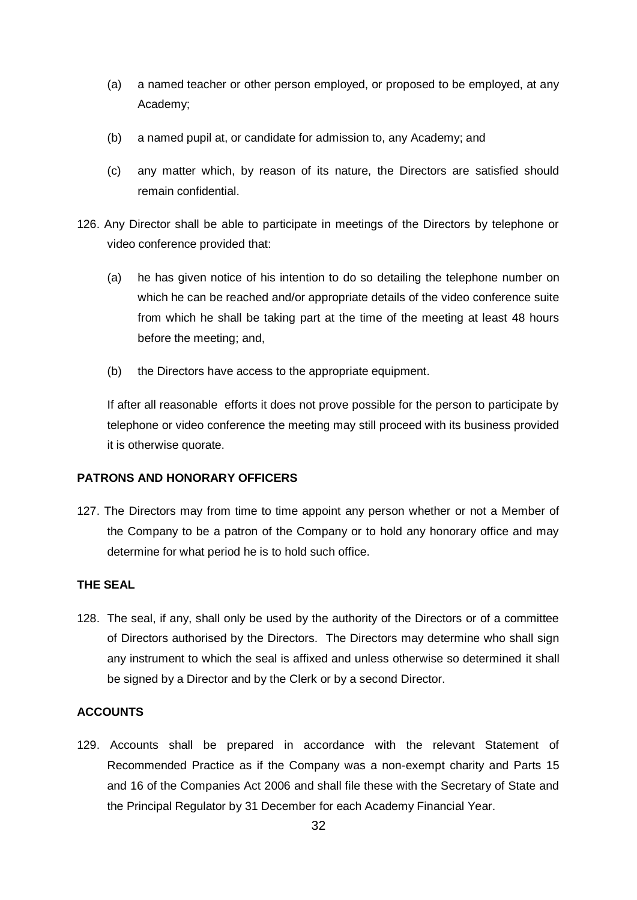- (a) a named teacher or other person employed, or proposed to be employed, at any Academy;
- (b) a named pupil at, or candidate for admission to, any Academy; and
- (c) any matter which, by reason of its nature, the Directors are satisfied should remain confidential.
- 126. Any Director shall be able to participate in meetings of the Directors by telephone or video conference provided that:
	- (a) he has given notice of his intention to do so detailing the telephone number on which he can be reached and/or appropriate details of the video conference suite from which he shall be taking part at the time of the meeting at least 48 hours before the meeting; and,
	- (b) the Directors have access to the appropriate equipment.

If after all reasonable efforts it does not prove possible for the person to participate by telephone or video conference the meeting may still proceed with its business provided it is otherwise quorate.

### **PATRONS AND HONORARY OFFICERS**

127. The Directors may from time to time appoint any person whether or not a Member of the Company to be a patron of the Company or to hold any honorary office and may determine for what period he is to hold such office.

## **THE SEAL**

128. The seal, if any, shall only be used by the authority of the Directors or of a committee of Directors authorised by the Directors. The Directors may determine who shall sign any instrument to which the seal is affixed and unless otherwise so determined it shall be signed by a Director and by the Clerk or by a second Director.

# **ACCOUNTS**

129. Accounts shall be prepared in accordance with the relevant Statement of Recommended Practice as if the Company was a non-exempt charity and Parts 15 and 16 of the Companies Act 2006 and shall file these with the Secretary of State and the Principal Regulator by 31 December for each Academy Financial Year.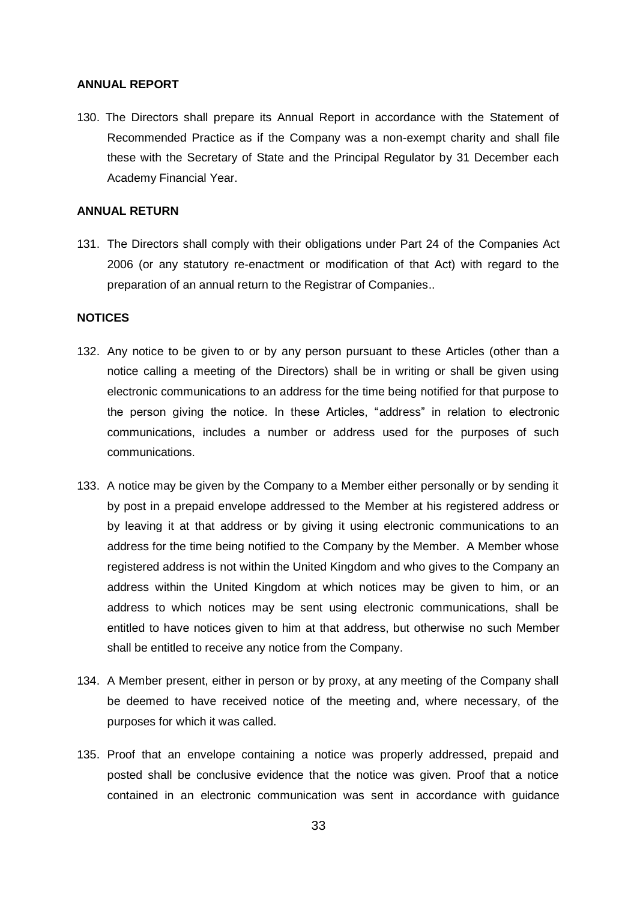#### **ANNUAL REPORT**

130. The Directors shall prepare its Annual Report in accordance with the Statement of Recommended Practice as if the Company was a non-exempt charity and shall file these with the Secretary of State and the Principal Regulator by 31 December each Academy Financial Year.

### **ANNUAL RETURN**

131. The Directors shall comply with their obligations under Part 24 of the Companies Act 2006 (or any statutory re-enactment or modification of that Act) with regard to the preparation of an annual return to the Registrar of Companies..

### **NOTICES**

- 132. Any notice to be given to or by any person pursuant to these Articles (other than a notice calling a meeting of the Directors) shall be in writing or shall be given using electronic communications to an address for the time being notified for that purpose to the person giving the notice. In these Articles, "address" in relation to electronic communications, includes a number or address used for the purposes of such communications.
- 133. A notice may be given by the Company to a Member either personally or by sending it by post in a prepaid envelope addressed to the Member at his registered address or by leaving it at that address or by giving it using electronic communications to an address for the time being notified to the Company by the Member. A Member whose registered address is not within the United Kingdom and who gives to the Company an address within the United Kingdom at which notices may be given to him, or an address to which notices may be sent using electronic communications, shall be entitled to have notices given to him at that address, but otherwise no such Member shall be entitled to receive any notice from the Company.
- 134. A Member present, either in person or by proxy, at any meeting of the Company shall be deemed to have received notice of the meeting and, where necessary, of the purposes for which it was called.
- 135. Proof that an envelope containing a notice was properly addressed, prepaid and posted shall be conclusive evidence that the notice was given. Proof that a notice contained in an electronic communication was sent in accordance with guidance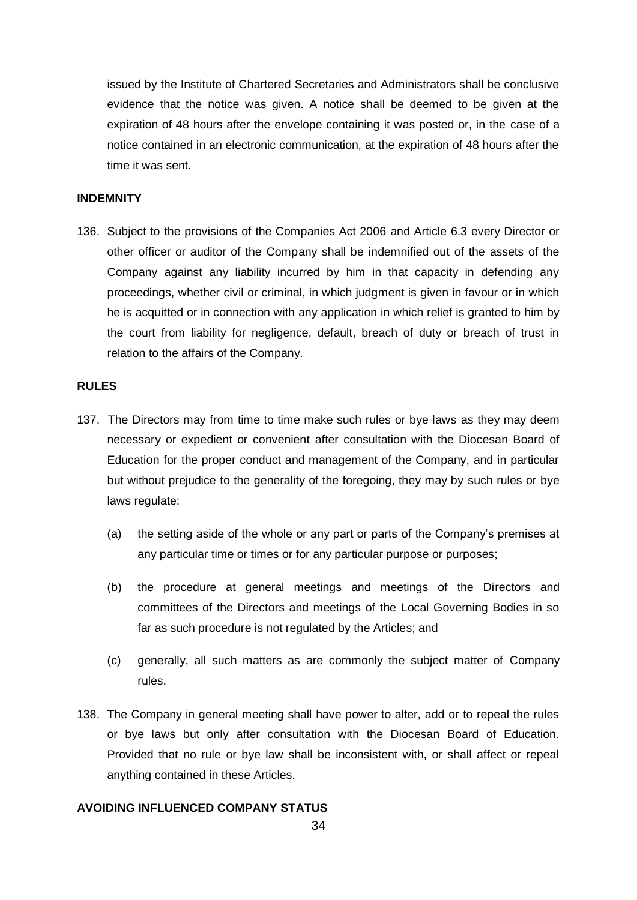issued by the Institute of Chartered Secretaries and Administrators shall be conclusive evidence that the notice was given. A notice shall be deemed to be given at the expiration of 48 hours after the envelope containing it was posted or, in the case of a notice contained in an electronic communication, at the expiration of 48 hours after the time it was sent.

## **INDEMNITY**

136. Subject to the provisions of the Companies Act 2006 and Article 6.3 every Director or other officer or auditor of the Company shall be indemnified out of the assets of the Company against any liability incurred by him in that capacity in defending any proceedings, whether civil or criminal, in which judgment is given in favour or in which he is acquitted or in connection with any application in which relief is granted to him by the court from liability for negligence, default, breach of duty or breach of trust in relation to the affairs of the Company.

## **RULES**

- 137. The Directors may from time to time make such rules or bye laws as they may deem necessary or expedient or convenient after consultation with the Diocesan Board of Education for the proper conduct and management of the Company, and in particular but without prejudice to the generality of the foregoing, they may by such rules or bye laws regulate:
	- (a) the setting aside of the whole or any part or parts of the Company's premises at any particular time or times or for any particular purpose or purposes;
	- (b) the procedure at general meetings and meetings of the Directors and committees of the Directors and meetings of the Local Governing Bodies in so far as such procedure is not regulated by the Articles; and
	- (c) generally, all such matters as are commonly the subject matter of Company rules.
- 138. The Company in general meeting shall have power to alter, add or to repeal the rules or bye laws but only after consultation with the Diocesan Board of Education. Provided that no rule or bye law shall be inconsistent with, or shall affect or repeal anything contained in these Articles.

#### **AVOIDING INFLUENCED COMPANY STATUS**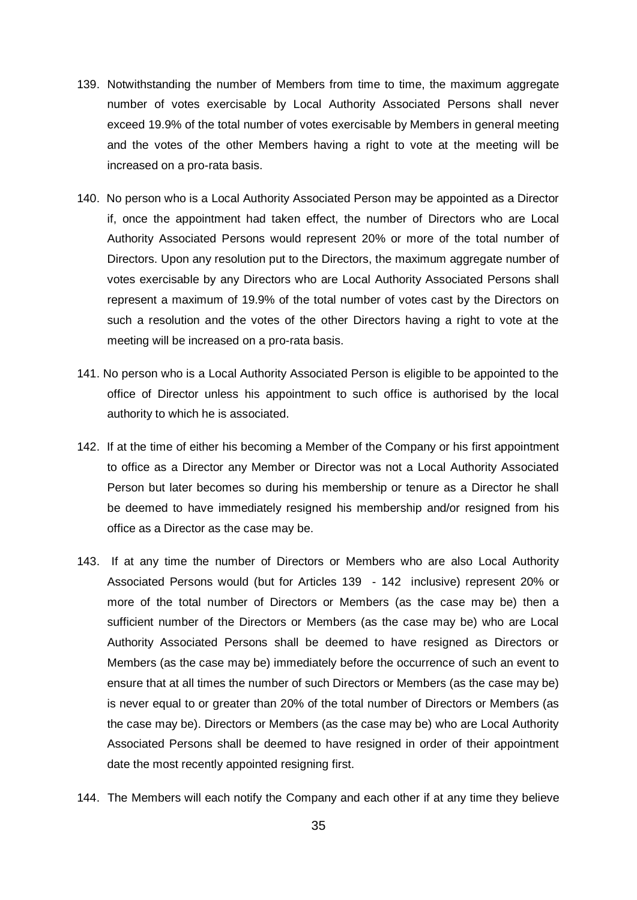- 139. Notwithstanding the number of Members from time to time, the maximum aggregate number of votes exercisable by Local Authority Associated Persons shall never exceed 19.9% of the total number of votes exercisable by Members in general meeting and the votes of the other Members having a right to vote at the meeting will be increased on a pro-rata basis.
- 140. No person who is a Local Authority Associated Person may be appointed as a Director if, once the appointment had taken effect, the number of Directors who are Local Authority Associated Persons would represent 20% or more of the total number of Directors. Upon any resolution put to the Directors, the maximum aggregate number of votes exercisable by any Directors who are Local Authority Associated Persons shall represent a maximum of 19.9% of the total number of votes cast by the Directors on such a resolution and the votes of the other Directors having a right to vote at the meeting will be increased on a pro-rata basis.
- 141. No person who is a Local Authority Associated Person is eligible to be appointed to the office of Director unless his appointment to such office is authorised by the local authority to which he is associated.
- 142. If at the time of either his becoming a Member of the Company or his first appointment to office as a Director any Member or Director was not a Local Authority Associated Person but later becomes so during his membership or tenure as a Director he shall be deemed to have immediately resigned his membership and/or resigned from his office as a Director as the case may be.
- 143. If at any time the number of Directors or Members who are also Local Authority Associated Persons would (but for Articles 139 - 142 inclusive) represent 20% or more of the total number of Directors or Members (as the case may be) then a sufficient number of the Directors or Members (as the case may be) who are Local Authority Associated Persons shall be deemed to have resigned as Directors or Members (as the case may be) immediately before the occurrence of such an event to ensure that at all times the number of such Directors or Members (as the case may be) is never equal to or greater than 20% of the total number of Directors or Members (as the case may be). Directors or Members (as the case may be) who are Local Authority Associated Persons shall be deemed to have resigned in order of their appointment date the most recently appointed resigning first.
- 144. The Members will each notify the Company and each other if at any time they believe